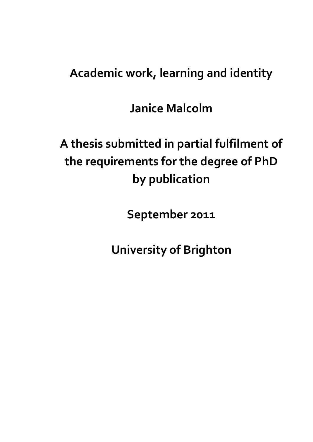# **Academic work, learning and identity**

**Janice Malcolm**

# **A thesis submitted in partial fulfilment of the requirements for the degree of PhD by publication**

**September 2011**

**University of Brighton**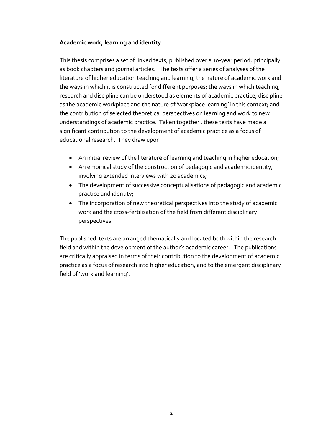## **Academic work, learning and identity**

This thesis comprises a set of linked texts, published over a 10-year period, principally as book chapters and journal articles. The texts offer a series of analyses of the literature of higher education teaching and learning; the nature of academic work and the ways in which it is constructed for different purposes; the ways in which teaching, research and discipline can be understood as elements of academic practice; discipline as the academic workplace and the nature of 'workplace learning' in this context; and the contribution of selected theoretical perspectives on learning and work to new understandings of academic practice. Taken together , these texts have made a significant contribution to the development of academic practice as a focus of educational research. They draw upon

- An initial review of the literature of learning and teaching in higher education;
- An empirical study of the construction of pedagogic and academic identity, involving extended interviews with 20 academics;
- The development of successive conceptualisations of pedagogic and academic practice and identity;
- The incorporation of new theoretical perspectives into the study of academic work and the cross-fertilisation of the field from different disciplinary perspectives.

The published texts are arranged thematically and located both within the research field and within the development of the author's academic career. The publications are critically appraised in terms of their contribution to the development of academic practice as a focus of research into higher education, and to the emergent disciplinary field of 'work and learning'.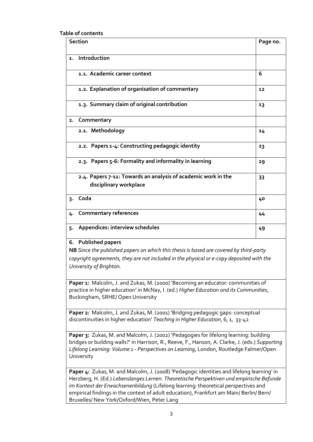**Table of contents**

| <b>Section</b>                                                                                                                                                                                                                                                                                                                                                                                                        | Page no. |
|-----------------------------------------------------------------------------------------------------------------------------------------------------------------------------------------------------------------------------------------------------------------------------------------------------------------------------------------------------------------------------------------------------------------------|----------|
| Introduction<br>1.                                                                                                                                                                                                                                                                                                                                                                                                    |          |
| 1.1. Academic career context                                                                                                                                                                                                                                                                                                                                                                                          | 6        |
| 1.2. Explanation of organisation of commentary                                                                                                                                                                                                                                                                                                                                                                        | 12       |
| 1.3. Summary claim of original contribution                                                                                                                                                                                                                                                                                                                                                                           | 13       |
| Commentary<br>2.                                                                                                                                                                                                                                                                                                                                                                                                      |          |
| 2.1. Methodology                                                                                                                                                                                                                                                                                                                                                                                                      | 14       |
| 2.2. Papers 1-4: Constructing pedagogic identity                                                                                                                                                                                                                                                                                                                                                                      | 23       |
| 2.3. Papers 5-6: Formality and informality in learning                                                                                                                                                                                                                                                                                                                                                                | 29       |
| 2.4. Papers 7-11: Towards an analysis of academic work in the<br>disciplinary workplace                                                                                                                                                                                                                                                                                                                               | 33       |
| Coda<br>3.                                                                                                                                                                                                                                                                                                                                                                                                            | 40       |
| <b>Commentary references</b><br>4.                                                                                                                                                                                                                                                                                                                                                                                    | 44       |
| Appendices: interview schedules<br>5.                                                                                                                                                                                                                                                                                                                                                                                 | 49       |
| 6. Published papers<br>NB Since the published papers on which this thesis is based are covered by third-party<br>copyright agreements, they are not included in the physical or e-copy deposited with the<br>University of Brighton.                                                                                                                                                                                  |          |
| Paper 1: Malcolm, J. and Zukas, M. (2000) 'Becoming an educator: communities of<br>practice in higher education' in McNay, I. (ed.) Higher Education and its Communities,<br>Buckingham, SRHE/Open University                                                                                                                                                                                                         |          |
| Paper 2: Malcolm, J. and Zukas, M. (2001) 'Bridging pedagogic gaps: conceptual<br>discontinuities in higher education' Teaching in Higher Education, 6, 1, 33-42                                                                                                                                                                                                                                                      |          |
| Paper 3: Zukas, M. and Malcolm, J. (2002) 'Pedagogies for lifelong learning: building<br>bridges or building walls?' in Harrison, R., Reeve, F., Hanson, A. Clarke, J. (eds.) Supporting<br>Lifelong Learning: Volume 1 - Perspectives on Learning, London, Routledge Falmer/Open<br>University                                                                                                                       |          |
| Paper 4: Zukas, M. and Malcolm, J. (2008) 'Pedagogic identities and lifelong learning' in<br>Herzberg, H. (Ed.) Lebenslanges Lernen. Theoretische Perspektiven und empirische Befunde<br>im Kontext der Erwachsenenbildung (Lifelong learning: theoretical perspectives and<br>empirical findings in the context of adult education), Frankfurt am Main/ Berlin/ Bern/<br>Bruxelles/ New York/Oxford/Wien, Peter Lang |          |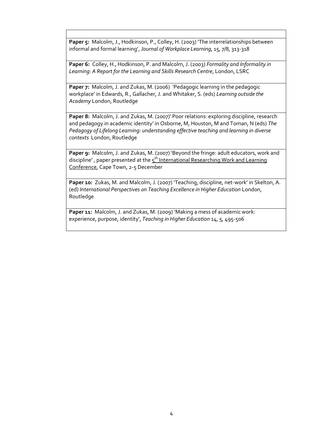Paper 5: Malcolm, J., Hodkinson, P., Colley, H. (2003) 'The interrelationships between informal and formal learning', *Journal of Workplace Learning*, 15, 7/8, 313-318

**Paper 6:** Colley, H., Hodkinson, P. and Malcolm, J. (2003) *Formality and Informality in Learning: A Report for the Learning and Skills Research Centre*, London, LSRC

Paper 7: Malcolm, J. and Zukas, M. (2006) 'Pedagogic learning in the pedagogic workplace' in Edwards, R., Gallacher, J. and Whitaker, S. (eds) *Learning outside the Academy* London, Routledge

**Paper 8:** Malcolm, J. and Zukas, M. (2007)' Poor relations: exploring discipline, research and pedagogy in academic identity' in Osborne, M, Houston, M and Toman, N (eds) *The Pedagogy of Lifelong Learning: understanding effective teaching and learning in diverse contexts* London, Routledge

Paper 9: Malcolm, J. and Zukas, M. (2007) 'Beyond the fringe: adult educators, work and discipline' , paper presented at the 5<sup>th</sup> International Researching Work and Learning Conference, Cape Town, 2-5 December

Paper 10: Zukas, M. and Malcolm, J. (2007) 'Teaching, discipline, net-work' in Skelton, A. (ed) *International Perspectives on Teaching Excellence in Higher Education* London, Routledge

Paper 11: Malcolm, J. and Zukas, M. (2009) 'Making a mess of academic work: experience, purpose, identity', *Teaching in Higher Education* 14, 5, 495-506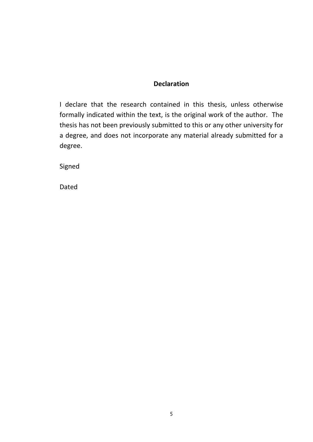# **Declaration**

I declare that the research contained in this thesis, unless otherwise formally indicated within the text, is the original work of the author. The thesis has not been previously submitted to this or any other university for a degree, and does not incorporate any material already submitted for a degree.

Signed

Dated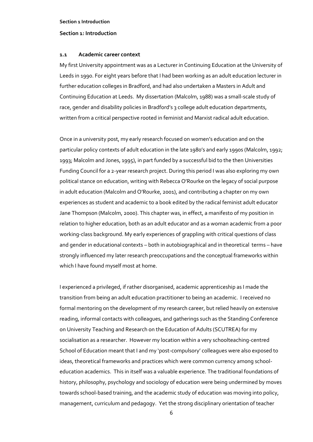## **Section 1: Introduction**

## **1.1 Academic career context**

My first University appointment was as a Lecturer in Continuing Education at the University of Leeds in 1990. For eight years before that I had been working as an adult education lecturer in further education colleges in Bradford, and had also undertaken a Masters in Adult and Continuing Education at Leeds. My dissertation (Malcolm, 1988) was a small-scale study of race, gender and disability policies in Bradford's 3 college adult education departments, written from a critical perspective rooted in feminist and Marxist radical adult education.

Once in a university post, my early research focused on women's education and on the particular policy contexts of adult education in the late 1980's and early 1990s (Malcolm, 1992; 1993; Malcolm and Jones, 1995), in part funded by a successful bid to the then Universities Funding Council for a 2-year research project. During this period I was also exploring my own political stance on education, writing with Rebecca O'Rourke on the legacy of social purpose in adult education (Malcolm and O'Rourke, 2001), and contributing a chapter on my own experiences as student and academic to a book edited by the radical feminist adult educator Jane Thompson (Malcolm, 2000). This chapter was, in effect, a manifesto of my position in relation to higher education, both as an adult educator and as a woman academic from a poor working-class background. My early experiences of grappling with critical questions of class and gender in educational contexts – both in autobiographical and in theoretical terms – have strongly influenced my later research preoccupations and the conceptual frameworks within which I have found myself most at home.

I experienced a privileged, if rather disorganised, academic apprenticeship as I made the transition from being an adult education practitioner to being an academic. I received no formal mentoring on the development of my research career, but relied heavily on extensive reading, informal contacts with colleagues, and gatherings such as the Standing Conference on University Teaching and Research on the Education of Adults (SCUTREA) for my socialisation as a researcher. However my location within a very schoolteaching-centred School of Education meant that I and my 'post-compulsory' colleagues were also exposed to ideas, theoretical frameworks and practices which were common currency among schooleducation academics. This in itself was a valuable experience. The traditional foundations of history, philosophy, psychology and sociology of education were being undermined by moves towards school-based training, and the academic study of education was moving into policy, management, curriculum and pedagogy. Yet the strong disciplinary orientation of teacher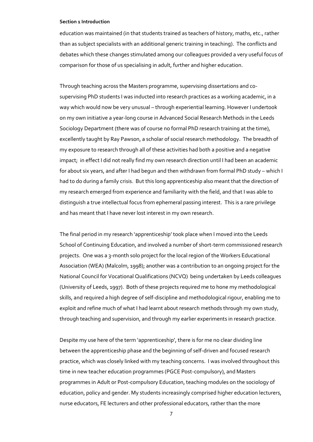education was maintained (in that students trained as teachers of history, maths, etc., rather than as subject specialists with an additional generic training in teaching). The conflicts and debates which these changes stimulated among our colleagues provided a very useful focus of comparison for those of us specialising in adult, further and higher education.

Through teaching across the Masters programme, supervising dissertations and cosupervising PhD students I was inducted into research practices as a working academic, in a way which would now be very unusual – through experiential learning. However I undertook on my own initiative a year-long course in Advanced Social Research Methods in the Leeds Sociology Department (there was of course no formal PhD research training at the time), excellently taught by Ray Pawson, a scholar of social research methodology. The breadth of my exposure to research through all of these activities had both a positive and a negative impact; in effect I did not really find my own research direction until I had been an academic for about six years, and after I had begun and then withdrawn from formal PhD study – which I had to do during a family crisis. But this long apprenticeship also meant that the direction of my research emerged from experience and familiarity with the field, and that I was able to distinguish a true intellectual focus from ephemeral passing interest. This is a rare privilege and has meant that I have never lost interest in my own research.

The final period in my research 'apprenticeship' took place when I moved into the Leeds School of Continuing Education, and involved a number of short-term commissioned research projects. One was a 3-month solo project for the local region of the Workers Educational Association (WEA) (Malcolm, 1998); another was a contribution to an ongoing project for the National Council for Vocational Qualifications (NCVQ) being undertaken by Leeds colleagues (University of Leeds, 1997). Both of these projects required me to hone my methodological skills, and required a high degree of self-discipline and methodological rigour, enabling me to exploit and refine much of what I had learnt about research methods through my own study, through teaching and supervision, and through my earlier experiments in research practice.

Despite my use here of the term 'apprenticeship', there is for me no clear dividing line between the apprenticeship phase and the beginning of self-driven and focused research practice, which was closely linked with my teaching concerns. I was involved throughout this time in new teacher education programmes (PGCE Post-compulsory), and Masters programmes in Adult or Post-compulsory Education, teaching modules on the sociology of education, policy and gender. My students increasingly comprised higher education lecturers, nurse educators, FE lecturers and other professional educators, rather than the more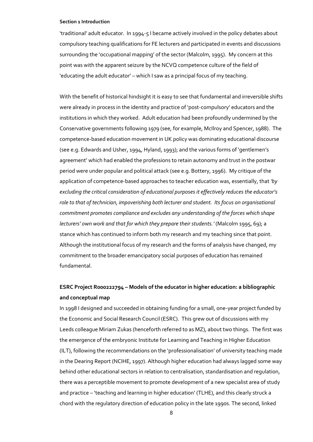'traditional' adult educator. In 1994-5 I became actively involved in the policy debates about compulsory teaching qualifications for FE lecturers and participated in events and discussions surrounding the 'occupational mapping' of the sector (Malcolm, 1995). My concern at this point was with the apparent seizure by the NCVQ competence culture of the field of 'educating the adult educator' – which I saw as a principal focus of my teaching.

With the benefit of historical hindsight it is easy to see that fundamental and irreversible shifts were already in process in the identity and practice of 'post-compulsory' educators and the institutions in which they worked. Adult education had been profoundly undermined by the Conservative governments following 1979 (see, for example, McIlroy and Spencer, 1988). The competence-based education movement in UK policy was dominating educational discourse (see e.g. Edwards and Usher, 1994, Hyland, 1993); and the various forms of 'gentlemen's agreement' which had enabled the professions to retain autonomy and trust in the postwar period were under popular and political attack (see e.g. Bottery, 1996). My critique of the application of competence-based approaches to teacher education was, essentially, that *'by excluding the critical consideration of educational purposes it effectively reduces the educator's role to that of technician, impoverishing both lecturer and student. Its focus on organisational commitment promotes compliance and excludes any understanding of the forces which shape lecturers' own work and that for which they prepare their students.'* (Malcolm 1995, 69); a stance which has continued to inform both my research and my teaching since that point. Although the institutional focus of my research and the forms of analysis have changed, my commitment to the broader emancipatory social purposes of education has remained fundamental.

# **ESRC Project R000222794 – Models of the educator in higher education: a bibliographic and conceptual map**

In 1998 I designed and succeeded in obtaining funding for a small, one-year project funded by the Economic and Social Research Council (ESRC). This grew out of discussions with my Leeds colleague Miriam Zukas (henceforth referred to as MZ), about two things. The first was the emergence of the embryonic Institute for Learning and Teaching in Higher Education (ILT), following the recommendations on the 'professionalisation' of university teaching made in the Dearing Report (NCIHE, 1997). Although higher education had always lagged some way behind other educational sectors in relation to centralisation, standardisation and regulation, there was a perceptible movement to promote development of a new specialist area of study and practice – 'teaching and learning in higher education' (TLHE), and this clearly struck a chord with the regulatory direction of education policy in the late 1990s. The second, linked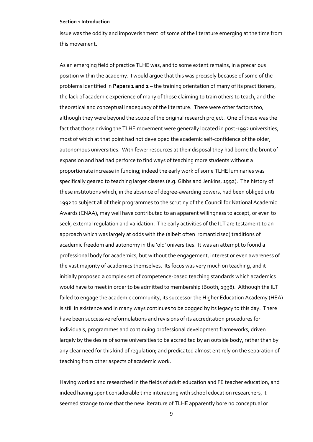issue was the oddity and impoverishment of some of the literature emerging at the time from this movement.

As an emerging field of practice TLHE was, and to some extent remains, in a precarious position within the academy. I would argue that this was precisely because of some of the problems identified in **Papers 1 and 2** – the training orientation of many of its practitioners, the lack of academic experience of many of those claiming to train others to teach, and the theoretical and conceptual inadequacy of the literature. There were other factors too, although they were beyond the scope of the original research project. One of these was the fact that those driving the TLHE movement were generally located in post-1992 universities, most of which at that point had not developed the academic self-confidence of the older, autonomous universities. With fewer resources at their disposal they had borne the brunt of expansion and had had perforce to find ways of teaching more students without a proportionate increase in funding; indeed the early work of some TLHE luminaries was specifically geared to teaching larger classes (e.g. Gibbs and Jenkins, 1992). The history of these institutions which, in the absence of degree-awarding powers, had been obliged until 1992 to subject all of their programmes to the scrutiny of the Council for National Academic Awards (CNAA), may well have contributed to an apparent willingness to accept, or even to seek, external regulation and validation. The early activities of the ILT are testament to an approach which was largely at odds with the (albeit often romanticised) traditions of academic freedom and autonomy in the 'old' universities. It was an attempt to found a professional body for academics, but without the engagement, interest or even awareness of the vast majority of academics themselves. Its focus was very much on teaching, and it initially proposed a complex set of competence-based teaching standards which academics would have to meet in order to be admitted to membership (Booth, 1998). Although the ILT failed to engage the academic community, its successor the Higher Education Academy (HEA) is still in existence and in many ways continues to be dogged by its legacy to this day. There have been successive reformulations and revisions of its accreditation procedures for individuals, programmes and continuing professional development frameworks, driven largely by the desire of some universities to be accredited by an outside body, rather than by any clear need for this kind of regulation; and predicated almost entirely on the separation of teaching from other aspects of academic work.

Having worked and researched in the fields of adult education and FE teacher education, and indeed having spent considerable time interacting with school education researchers, it seemed strange to me that the new literature of TLHE apparently bore no conceptual or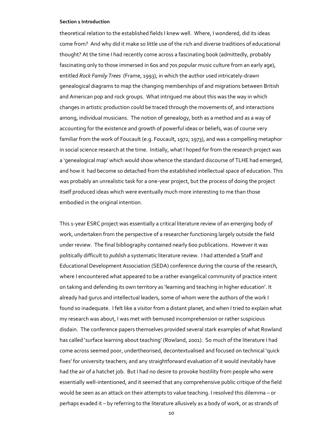theoretical relation to the established fields I knew well. Where, I wondered, did its ideas come from? And why did it make so little use of the rich and diverse traditions of educational thought? At the time I had recently come across a fascinating book (admittedly, probably fascinating only to those immersed in 60s and 70s popular music culture from an early age), entitled *Rock Family Trees* (Frame, 1993), in which the author used intricately-drawn genealogical diagrams to map the changing memberships of and migrations between British and American pop and rock groups. What intrigued me about this was the way in which changes in artistic production could be traced through the movements of, and interactions among, individual musicians. The notion of genealogy, both as a method and as a way of accounting for the existence and growth of powerful ideas or beliefs, was of course very familiar from the work of Foucault (e.g. Foucault, 1972; 1973), and was a compelling metaphor in social science research at the time. Initially, what I hoped for from the research project was a 'genealogical map' which would show whence the standard discourse of TLHE had emerged, and how it had become so detached from the established intellectual space of education. This was probably an unrealistic task for a one-year project, but the process of doing the project itself produced ideas which were eventually much more interesting to me than those embodied in the original intention.

This 1-year ESRC project was essentially a critical literature review of an emerging body of work, undertaken from the perspective of a researcher functioning largely outside the field under review. The final bibliography contained nearly 600 publications. However it was politically difficult to *publish* a systematic literature review. I had attended a Staff and Educational Development Association (SEDA) conference during the course of the research, where I encountered what appeared to be a rather evangelical community of practice intent on taking and defending its own territory as 'learning and teaching in higher education'. It already had gurus and intellectual leaders, some of whom were the authors of the work I found so inadequate. I felt like a visitor from a distant planet, and when I tried to explain what my research was about, I was met with bemused incomprehension or rather suspicious disdain. The conference papers themselves provided several stark examples of what Rowland has called 'surface learning about teaching' (Rowland, 2001). So much of the literature I had come across seemed poor, undertheorised, decontextualised and focused on technical 'quick fixes' for university teachers; and any straightforward evaluation of it would inevitably have had the air of a hatchet job. But I had no desire to provoke hostility from people who were essentially well-intentioned, and it seemed that any comprehensive public critique of the field would be seen as an attack on their attempts to value teaching. I resolved this dilemma – or perhaps evaded it – by referring to the literature allusively as a body of work, or as strands of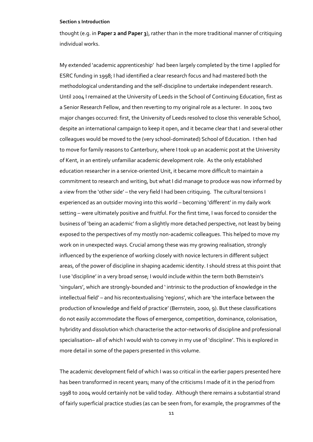thought (e.g. in **Paper 2 and Paper 3**), rather than in the more traditional manner of critiquing individual works.

My extended 'academic apprenticeship' had been largely completed by the time I applied for ESRC funding in 1998; I had identified a clear research focus and had mastered both the methodological understanding and the self-discipline to undertake independent research. Until 2004 I remained at the University of Leeds in the School of Continuing Education, first as a Senior Research Fellow, and then reverting to my original role as a lecturer. In 2004 two major changes occurred: first, the University of Leeds resolved to close this venerable School, despite an international campaign to keep it open, and it became clear that I and several other colleagues would be moved to the (very school-dominated) School of Education. I then had to move for family reasons to Canterbury, where I took up an academic post at the University of Kent, in an entirely unfamiliar academic development role. As the only established education researcher in a service-oriented Unit, it became more difficult to maintain a commitment to research and writing, but what I did manage to produce was now informed by a view from the 'other side' – the very field I had been critiquing. The cultural tensions I experienced as an outsider moving into this world – becoming 'different' in my daily work setting – were ultimately positive and fruitful. For the first time, I was forced to consider the business of 'being an academic' from a slightly more detached perspective, not least by being exposed to the perspectives of my mostly non-academic colleagues. This helped to move my work on in unexpected ways. Crucial among these was my growing realisation, strongly influenced by the experience of working closely with novice lecturers in different subject areas, of the power of discipline in shaping academic identity. I should stress at this point that I use 'discipline' in a very broad sense; I would include within the term both Bernstein's 'singulars', which are strongly-bounded and ' intrinsic to the production of knowledge in the intellectual field' – and his recontextualising 'regions', which are 'the interface between the production of knowledge and field of practice' (Bernstein, 2000, 9). But these classifications do not easily accommodate the flows of emergence, competition, dominance, colonisation, hybridity and dissolution which characterise the actor-networks of discipline and professional specialisation– all of which I would wish to convey in my use of 'discipline'. This is explored in more detail in some of the papers presented in this volume.

The academic development field of which I was so critical in the earlier papers presented here has been transformed in recent years; many of the criticisms I made of it in the period from 1998 to 2004 would certainly not be valid today. Although there remains a substantial strand of fairly superficial practice studies (as can be seen from, for example, the programmes of the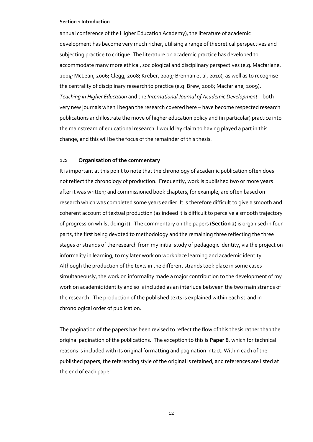annual conference of the Higher Education Academy), the literature of academic development has become very much richer, utilising a range of theoretical perspectives and subjecting practice to critique. The literature on academic practice has developed to accommodate many more ethical, sociological and disciplinary perspectives (e.g. Macfarlane, 2004; McLean, 2006; Clegg, 2008; Kreber, 2009; Brennan et al, 2010), as well as to recognise the centrality of disciplinary research to practice (e.g. Brew, 2006; Macfarlane, 2009). *Teaching in Higher Education* and the *International Journal of Academic Development* – both very new journals when I began the research covered here – have become respected research publications and illustrate the move of higher education policy and (in particular) practice into the mainstream of educational research. I would lay claim to having played a part in this change, and this will be the focus of the remainder of this thesis.

## **1.2 Organisation of the commentary**

It is important at this point to note that the chronology of academic publication often does not reflect the chronology of production. Frequently, work is published two or more years after it was written; and commissioned book chapters, for example, are often based on research which was completed some years earlier. It is therefore difficult to give a smooth and coherent account of textual production (as indeed it is difficult to perceive a smooth trajectory of progression whilst doing it). The commentary on the papers (**Section 2**) is organised in four parts, the first being devoted to methodology and the remaining three reflecting the three stages or strands of the research from my initial study of pedagogic identity, via the project on informality in learning, to my later work on workplace learning and academic identity. Although the production of the texts in the different strands took place in some cases simultaneously, the work on informality made a major contribution to the development of my work on academic identity and so is included as an interlude between the two main strands of the research. The production of the published texts is explained within each strand in chronological order of publication.

The pagination of the papers has been revised to reflect the flow of this thesis rather than the original pagination of the publications. The exception to this is **Paper 6**, which for technical reasons is included with its original formatting and pagination intact. Within each of the published papers, the referencing style of the original is retained, and references are listed at the end of each paper.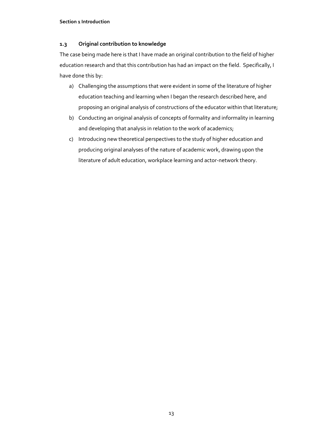## **1.3 Original contribution to knowledge**

The case being made here is that I have made an original contribution to the field of higher education research and that this contribution has had an impact on the field. Specifically, I have done this by:

- a) Challenging the assumptions that were evident in some of the literature of higher education teaching and learning when I began the research described here, and proposing an original analysis of constructions of the educator within that literature;
- b) Conducting an original analysis of concepts of formality and informality in learning and developing that analysis in relation to the work of academics;
- c) Introducing new theoretical perspectives to the study of higher education and producing original analyses of the nature of academic work, drawing upon the literature of adult education, workplace learning and actor-network theory.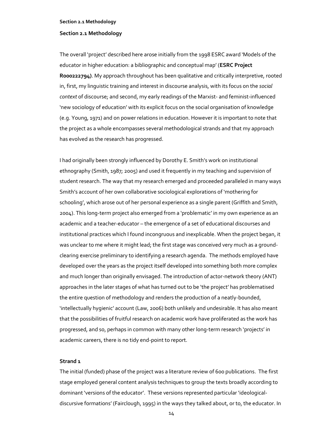## **Section 2.1 Methodology**

The overall 'project' described here arose initially from the 1998 ESRC award 'Models of the educator in higher education: a bibliographic and conceptual map' (**ESRC Project R000222794)**. My approach throughout has been qualitative and critically interpretive, rooted in, first, my linguistic training and interest in discourse analysis, with its focus on the *social context* of discourse; and second, my early readings of the Marxist- and feminist-influenced 'new sociology of education' with its explicit focus on the social organisation of knowledge (e.g. Young, 1971) and on power relations in education. However it is important to note that the project as a whole encompasses several methodological strands and that my approach has evolved as the research has progressed.

I had originally been strongly influenced by Dorothy E. Smith's work on institutional ethnography (Smith, 1987; 2005) and used it frequently in my teaching and supervision of student research. The way that my research emerged and proceeded paralleled in many ways Smith's account of her own collaborative sociological explorations of 'mothering for schooling', which arose out of her personal experience as a single parent (Griffith and Smith, 2004). This long-term project also emerged from a 'problematic' in my own experience as an academic and a teacher-educator – the emergence of a set of educational discourses and institutional practices which I found incongruous and inexplicable. When the project began, it was unclear to me where it might lead; the first stage was conceived very much as a groundclearing exercise preliminary to identifying a research agenda. The methods employed have developed over the years as the project itself developed into something both more complex and much longer than originally envisaged. The introduction of actor-network theory (ANT) approaches in the later stages of what has turned out to be 'the project' has problematised the entire question of methodology and renders the production of a neatly-bounded, 'intellectually hygienic' account (Law, 2006) both unlikely and undesirable. It has also meant that the possibilities of fruitful research on academic work have proliferated as the work has progressed, and so, perhaps in common with many other long-term research 'projects' in academic careers, there is no tidy end-point to report.

## **Strand 1**

The initial (funded) phase of the project was a literature review of 600 publications. The first stage employed general content analysis techniques to group the texts broadly according to dominant 'versions of the educator'. These versions represented particular 'ideologicaldiscursive formations' (Fairclough, 1995) in the ways they talked about, or to, the educator. In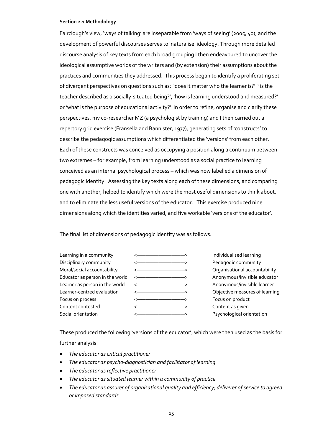Fairclough's view, 'ways of talking' are inseparable from 'ways of seeing' (2005, 40), and the development of powerful discourses serves to 'naturalise' ideology. Through more detailed discourse analysis of key texts from each broad grouping I then endeavoured to uncover the ideological assumptive worlds of the writers and (by extension) their assumptions about the practices and communities they addressed. This process began to identify a proliferating set of divergent perspectives on questions such as: 'does it matter who the learner is?' ' is the teacher described as a socially-situated being?', 'how is learning understood and measured?' or 'what is the purpose of educational activity?' In order to refine, organise and clarify these perspectives, my co-researcher MZ (a psychologist by training) and I then carried out a repertory grid exercise (Fransella and Bannister, 1977), generating sets of 'constructs' to describe the pedagogic assumptions which differentiated the 'versions' from each other. Each of these constructs was conceived as occupying a position along a continuum between two extremes – for example, from learning understood as a social practice to learning conceived as an internal psychological process – which was now labelled a dimension of pedagogic identity. Assessing the key texts along each of these dimensions, and comparing one with another, helped to identify which were the most useful dimensions to think about, and to eliminate the less useful versions of the educator. This exercise produced nine dimensions along which the identities varied, and five workable 'versions of the educator'.

The final list of dimensions of pedagogic identity was as follows:



These produced the following 'versions of the educator', which were then used as the basis for further analysis:

- *The educator as critical practitioner*
- *The educator as psycho-diagnostician and facilitator of learning*
- *The educator as reflective practitioner*
- *The educator as situated learner within a community of practice*
- *The educator as assurer of organisational quality and efficiency; deliverer of service to agreed or imposed standards*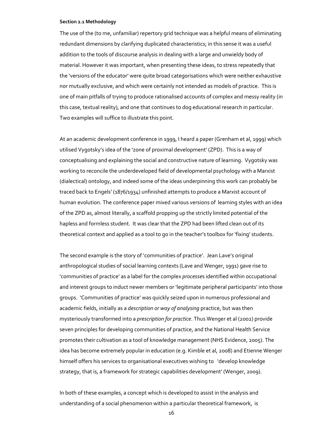The use of the (to me, unfamiliar) repertory grid technique was a helpful means of eliminating redundant dimensions by clarifying duplicated characteristics; in this sense it was a useful addition to the tools of discourse analysis in dealing with a large and unwieldy body of material. However it was important, when presenting these ideas, to stress repeatedly that the 'versions of the educator' were quite broad categorisations which were neither exhaustive nor mutually exclusive, and which were certainly not intended as models of practice. This is one of main pitfalls of trying to produce rationalised accounts of complex and messy reality (in this case, textual reality), and one that continues to dog educational research in particular. Two examples will suffice to illustrate this point.

At an academic development conference in 1999, I heard a paper (Grenham et al, 1999) which utilised Vygotsky's idea of the 'zone of proximal development' (ZPD). This is a way of conceptualising and explaining the social and constructive nature of learning. Vygotsky was working to reconcile the underdeveloped field of developmental psychology with a Marxist (dialectical) ontology, and indeed some of the ideas underpinning this work can probably be traced back to Engels' (1876/1934) unfinished attempts to produce a Marxist account of human evolution. The conference paper mixed various versions of learning styles with an idea of the ZPD as, almost literally, a scaffold propping up the strictly limited potential of the hapless and formless student. It was clear that the ZPD had been lifted clean out of its theoretical context and applied as a tool to go in the teacher's toolbox for 'fixing' students.

The second example is the story of 'communities of practice'. Jean Lave's original anthropological studies of social learning contexts (Lave and Wenger, 1991) gave rise to 'communities of practice' as a label for the complex *processe*s identified within occupational and interest groups to induct newer members or 'legitimate peripheral participants' into those groups. 'Communities of practice' was quickly seized upon in numerous professional and academic fields, initially as a *description or way of analysing* practice, but was then mysteriously transformed into a *prescription for practice*. Thus Wenger et al (2002) provide seven principles for developing communities of practice, and the National Health Service promotes their cultivation as a tool of knowledge management (NHS Evidence, 2005). The idea has become extremely popular in education (e.g. Kimble et al, 2008) and Etienne Wenger himself offers his services to organisational executives wishing to 'develop knowledge strategy, that is, a framework for strategic capabilities development' (Wenger, 2009).

In both of these examples, a concept which is developed to assist in the analysis and understanding of a social phenomenon within a particular theoretical framework, is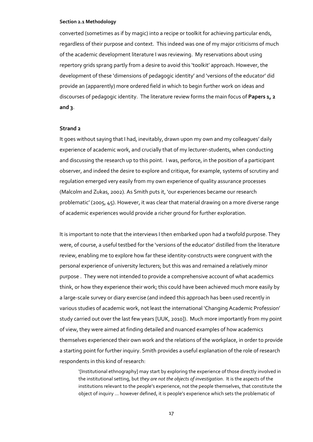converted (sometimes as if by magic) into a recipe or toolkit for achieving particular ends, regardless of their purpose and context. This indeed was one of my major criticisms of much of the academic development literature I was reviewing. My reservations about using repertory grids sprang partly from a desire to avoid this 'toolkit' approach. However, the development of these 'dimensions of pedagogic identity' and 'versions of the educator' did provide an (apparently) more ordered field in which to begin further work on ideas and discourses of pedagogic identity. The literature review forms the main focus of **Papers 1, 2 and 3**.

## **Strand 2**

It goes without saying that I had, inevitably, drawn upon my own and my colleagues' daily experience of academic work, and crucially that of my lecturer-students, when conducting and discussing the research up to this point. I was, perforce, in the position of a participant observer, and indeed the desire to explore and critique, for example, systems of scrutiny and regulation emerged very easily from my own experience of quality assurance processes (Malcolm and Zukas, 2002). As Smith puts it, 'our experiences became our research problematic' (2005, 45). However, it was clear that material drawing on a more diverse range of academic experiences would provide a richer ground for further exploration.

It is important to note that the interviews I then embarked upon had a twofold purpose. They were, of course, a useful testbed for the 'versions of the educator' distilled from the literature review, enabling me to explore how far these identity-constructs were congruent with the personal experience of university lecturers; but this was and remained a relatively minor purpose . They were not intended to provide a comprehensive account of what academics think, or how they experience their work; this could have been achieved much more easily by a large-scale survey or diary exercise (and indeed this approach has been used recently in various studies of academic work, not least the international 'Changing Academic Profession' study carried out over the last few years [UUK, 2010]). Much more importantly from my point of view, they were aimed at finding detailed and nuanced examples of how academics themselves experienced their own work and the relations of the workplace, in order to provide a starting point for further inquiry. Smith provides a useful explanation of the role of research respondents in this kind of research:

'[Institutional ethnography] may start by exploring the experience of those directly involved in the institutional setting, but *they are not the objects of investigation*. It is the aspects of the institutions relevant to the people's experience, not the people themselves, that constitute the object of inquiry … however defined, it is people's experience which sets the problematic of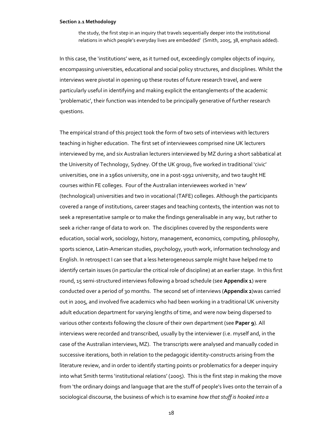the study, the first step in an inquiry that travels sequentially deeper into the institutional relations in which people's everyday lives are embedded' (Smith, 2005, 38, emphasis added).

In this case, the 'institutions' were, as it turned out, exceedingly complex objects of inquiry, encompassing universities, educational and social policy structures, and disciplines. Whilst the interviews were pivotal in opening up these routes of future research travel, and were particularly useful in identifying and making explicit the entanglements of the academic 'problematic', their function was intended to be principally generative of further research questions.

The empirical strand of this project took the form of two sets of interviews with lecturers teaching in higher education. The first set of interviewees comprised nine UK lecturers interviewed by me, and six Australian lecturers interviewed by MZ during a short sabbatical at the University of Technology, Sydney. Of the UK group, five worked in traditional 'civic' universities, one in a 1960s university, one in a post-1992 university, and two taught HE courses within FE colleges. Four of the Australian interviewees worked in 'new' (technological) universities and two in vocational (TAFE) colleges. Although the participants covered a range of institutions, career stages and teaching contexts, the intention was not to seek a representative sample or to make the findings generalisable in any way, but rather to seek a richer range of data to work on. The disciplines covered by the respondents were education, social work, sociology, history, management, economics, computing, philosophy, sports science, Latin-American studies, psychology, youth work, information technology and English. In retrospect I can see that a less heterogeneous sample might have helped me to identify certain issues (in particular the critical role of discipline) at an earlier stage. In this first round, 15 semi-structured interviews following a broad schedule (see **Appendix 1**) were conducted over a period of 30 months. The second set of interviews (**Appendix 2**)was carried out in 2005, and involved five academics who had been working in a traditional UK university adult education department for varying lengths of time, and were now being dispersed to various other contexts following the closure of their own department (see **Paper 9**). All interviews were recorded and transcribed, usually by the interviewer (i.e. myself and, in the case of the Australian interviews, MZ). The transcripts were analysed and manually coded in successive iterations, both in relation to the pedagogic identity-constructs arising from the literature review, and in order to identify starting points or problematics for a deeper inquiry into what Smith terms 'institutional relations' (2005). This is the first step in making the move from 'the ordinary doings and language that are the stuff of people's lives onto the terrain of a sociological discourse, the business of which is to examine *how that stuff is hooked into a*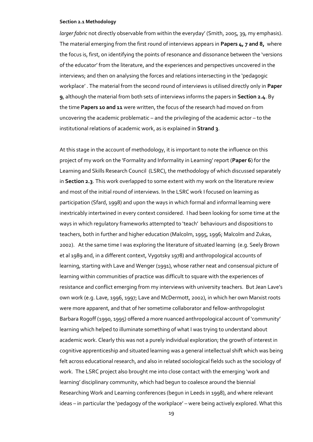*larger fabric* not directly observable from within the everyday' (Smith, 2005, 39, my emphasis). The material emerging from the first round of interviews appears in **Papers 4, 7 and 8,** where the focus is, first, on identifying the points of resonance and dissonance between the 'versions of the educator' from the literature, and the experiences and perspectives uncovered in the interviews; and then on analysing the forces and relations intersecting in the 'pedagogic workplace' . The material from the second round of interviews is utilised directly only in **Paper 9**, although the material from both sets of interviews informs the papers in **Section 2.4**. By the time **Papers 10 and 11** were written, the focus of the research had moved on from uncovering the academic problematic – and the privileging of the academic actor – to the institutional relations of academic work, as is explained in **Strand 3**.

At this stage in the account of methodology, it is important to note the influence on this project of my work on the 'Formality and Informality in Learning' report (**Paper 6**) for the Learning and Skills Research Council (LSRC), the methodology of which discussed separately in **Section 2.3**. This work overlapped to some extent with my work on the literature review and most of the initial round of interviews. In the LSRC work I focused on learning as participation (Sfard, 1998) and upon the ways in which formal and informal learning were inextricably intertwined in every context considered. I had been looking for some time at the ways in which regulatory frameworks attempted to 'teach' behaviours and dispositions to teachers, both in further and higher education (Malcolm, 1995, 1996; Malcolm and Zukas, 2002). At the same time I was exploring the literature of situated learning (e.g. Seely Brown et al 1989 and, in a different context, Vygotsky 1978) and anthropological accounts of learning, starting with Lave and Wenger (1991), whose rather neat and consensual picture of learning within communities of practice was difficult to square with the experiences of resistance and conflict emerging from my interviews with university teachers. But Jean Lave's own work (e.g. Lave, 1996, 1997; Lave and McDermott, 2002), in which her own Marxist roots were more apparent, and that of her sometime collaborator and fellow-anthropologist Barbara Rogoff (1990, 1995) offered a more nuanced anthropological account of 'community' learning which helped to illuminate something of what I was trying to understand about academic work. Clearly this was not a purely individual exploration; the growth of interest in cognitive apprenticeship and situated learning was a general intellectual shift which was being felt across educational research, and also in related sociological fields such as the sociology of work. The LSRC project also brought me into close contact with the emerging 'work and learning' disciplinary community, which had begun to coalesce around the biennial Researching Work and Learning conferences (begun in Leeds in 1998), and where relevant ideas – in particular the 'pedagogy of the workplace' – were being actively explored. What this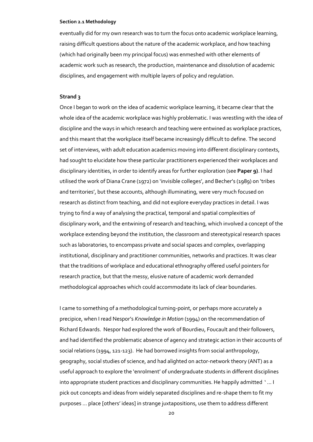eventually did for my own research was to turn the focus onto academic workplace learning, raising difficult questions about the nature of the academic workplace, and how teaching (which had originally been my principal focus) was enmeshed with other elements of academic work such as research, the production, maintenance and dissolution of academic disciplines, and engagement with multiple layers of policy and regulation.

## **Strand 3**

Once I began to work on the idea of academic workplace learning, it became clear that the whole idea of the academic workplace was highly problematic. I was wrestling with the idea of discipline and the ways in which research and teaching were entwined as workplace practices, and this meant that the workplace itself became increasingly difficult to define. The second set of interviews, with adult education academics moving into different disciplinary contexts, had sought to elucidate how these particular practitioners experienced their workplaces and disciplinary identities, in order to identify areas for further exploration (see **Paper 9)**. I had utilised the work of Diana Crane (1972) on 'invisible colleges', and Becher's (1989) on 'tribes and territories', but these accounts, although illuminating, were very much focused on research as distinct from teaching, and did not explore everyday practices in detail. I was trying to find a way of analysing the practical, temporal and spatial complexities of disciplinary work, and the entwining of research and teaching, which involved a concept of the workplace extending beyond the institution, the classroom and stereotypical research spaces such as laboratories, to encompass private and social spaces and complex, overlapping institutional, disciplinary and practitioner communities, networks and practices. It was clear that the traditions of workplace and educational ethnography offered useful pointers for research practice, but that the messy, elusive nature of academic work demanded methodological approaches which could accommodate its lack of clear boundaries.

I came to something of a methodological turning-point, or perhaps more accurately a precipice, when I read Nespor's *Knowledge in Motion* (1994) on the recommendation of Richard Edwards. Nespor had explored the work of Bourdieu, Foucault and their followers, and had identified the problematic absence of agency and strategic action in their accounts of social relations (1994, 121-123). He had borrowed insights from social anthropology, geography, social studies of science, and had alighted on actor-network theory (ANT) as a useful approach to explore the 'enrolment' of undergraduate students in different disciplines into appropriate student practices and disciplinary communities. He happily admitted ' … I pick out concepts and ideas from widely separated disciplines and re-shape them to fit my purposes … place [others' ideas] in strange juxtapositions, use them to address different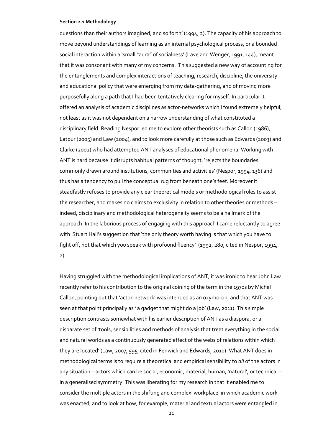questions than their authors imagined, and so forth' (1994, 2). The capacity of his approach to move beyond understandings of learning as an internal psychological process, or a bounded social interaction within a 'small "aura" of socialness' (Lave and Wenger, 1991, 144), meant that it was consonant with many of my concerns. This suggested a new way of accounting for the entanglements and complex interactions of teaching, research, discipline, the university and educational policy that were emerging from my data-gathering, and of moving more purposefully along a path that I had been tentatively clearing for myself. In particular it offered an analysis of academic disciplines as actor-networks which I found extremely helpful, not least as it was not dependent on a narrow understanding of what constituted a disciplinary field. Reading Nespor led me to explore other theorists such as Callon (1986), Latour (2005) and Law (2004), and to look more carefully at those such as Edwards (2003) and Clarke (2002) who had attempted ANT analyses of educational phenomena. Working with ANT is hard because it disrupts habitual patterns of thought, 'rejects the boundaries commonly drawn around institutions, communities and activities' (Nespor, 1994, 136) and thus has a tendency to pull the conceptual rug from beneath one's feet. Moreover it steadfastly refuses to provide any clear theoretical models or methodological rules to assist the researcher, and makes no claims to exclusivity in relation to other theories or methods – indeed, disciplinary and methodological heterogeneity seems to be a hallmark of the approach. In the laborious process of engaging with this approach I came reluctantly to agree with Stuart Hall's suggestion that 'the only theory worth having is that which you have to fight off, not that which you speak with profound fluency' (1992, 280, cited in Nespor, 1994, 2).

Having struggled with the methodological implications of ANT, it was ironic to hear John Law recently refer to his contribution to the original coining of the term in the 1970s by Michel Callon, pointing out that 'actor-network' was intended as an oxymoron, and that ANT was seen at that point principally as ' a gadget that might do a job' (Law, 2011). This simple description contrasts somewhat with his earlier description of ANT as a diaspora, or a disparate set of 'tools, sensibilities and methods of analysis that treat everything in the social and natural worlds as a continuously generated effect of the webs of relations within which they are located' (Law, 2007, 595, cited in Fenwick and Edwards, 2010). What ANT does in methodological terms is to require a theoretical and empirical sensibility to *all* of the actors in any situation – actors which can be social, economic, material, human, 'natural', or technical – in a generalised symmetry. This was liberating for my research in that it enabled me to consider the multiple actors in the shifting and complex 'workplace' in which academic work was enacted, and to look at how, for example, material and textual actors were entangled in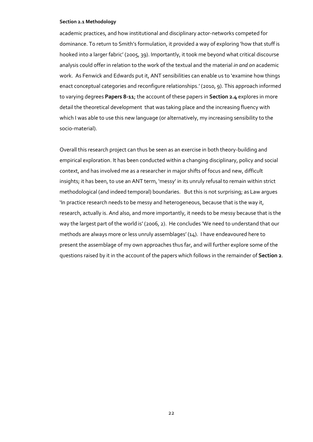academic practices, and how institutional and disciplinary actor-networks competed for dominance. To return to Smith's formulation, it provided a way of exploring 'how that stuff is hooked into a larger fabric' (2005, 39). Importantly, it took me beyond what critical discourse analysis could offer in relation to the work of the textual and the material *in and on* academic work. As Fenwick and Edwards put it, ANT sensibilities can enable us to 'examine how things enact conceptual categories and reconfigure relationships.' (2010, 9). This approach informed to varying degrees **Papers 8-11**; the account of these papers in **Section 2.4** explores in more detail the theoretical development that was taking place and the increasing fluency with which I was able to use this new language (or alternatively, my increasing sensibility to the socio-material).

Overall this research project can thus be seen as an exercise in both theory-building and empirical exploration. It has been conducted within a changing disciplinary, policy and social context, and has involved me as a researcher in major shifts of focus and new, difficult insights; it has been, to use an ANT term, 'messy' in its unruly refusal to remain within strict methodological (and indeed temporal) boundaries. But this is not surprising; as Law argues 'In practice research needs to be messy and heterogeneous, because that is the way it, research, actually is. And also, and more importantly, it needs to be messy because that is the way the largest part of the world is' (2006, 2). He concludes 'We need to understand that our methods are always more or less unruly assemblages' (14). I have endeavoured here to present the assemblage of my own approaches thus far, and will further explore some of the questions raised by it in the account of the papers which follows in the remainder of **Section 2**.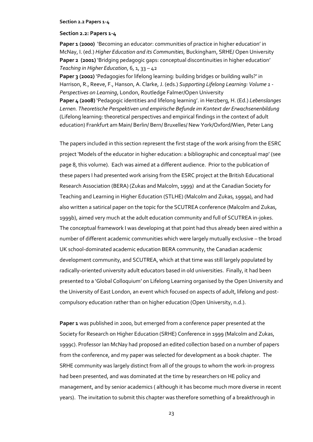## **Section 2.2: Papers 1-4**

**Paper 1 (2000)** 'Becoming an educator: communities of practice in higher education' in McNay, I. (ed.) *Higher Education and its Communities,* Buckingham, SRHE/ Open University Paper 2 (2001) 'Bridging pedagogic gaps: conceptual discontinuities in higher education' *Teaching in Higher Education*, 6, 1, 33 – 42

**Paper 3 (2002)** 'Pedagogies for lifelong learning: building bridges or building walls?' in Harrison, R., Reeve, F., Hanson, A. Clarke, J. (eds.) *Supporting Lifelong Learning: Volume 1 - Perspectives on Learning*, London, Routledge Falmer/Open University **Paper 4 (2008)** 'Pedagogic identities and lifelong learning'. in Herzberg, H. (Ed.) *Lebenslanges* 

*Lernen. Theoretische Perspektiven und empirische Befunde im Kontext der Erwachsenenbildung* (Lifelong learning: theoretical perspectives and empirical findings in the context of adult education) Frankfurt am Main/ Berlin/ Bern/ Bruxelles/ New York/Oxford/Wien, Peter Lang

The papers included in this section represent the first stage of the work arising from the ESRC project 'Models of the educator in higher education: a bibliographic and conceptual map' (see page 8, this volume). Each was aimed at a different audience. Prior to the publication of these papers I had presented work arising from the ESRC project at the British Educational Research Association (BERA) (Zukas and Malcolm, 1999) and at the Canadian Society for Teaching and Learning in Higher Education (STLHE) (Malcolm and Zukas, 1999a), and had also written a satirical paper on the topic for the SCUTREA conference (Malcolm and Zukas, 1999b), aimed very much at the adult education community and full of SCUTREA in-jokes. The conceptual framework I was developing at that point had thus already been aired within a number of different academic communities which were largely mutually exclusive – the broad UK school-dominated academic education BERA community, the Canadian academic development community, and SCUTREA, which at that time was still largely populated by radically-oriented university adult educators based in old universities. Finally, it had been presented to a 'Global Colloquium' on Lifelong Learning organised by the Open University and the University of East London, an event which focused on aspects of adult, lifelong and postcompulsory education rather than on higher education (Open University, n.d.).

Paper 1 was published in 2000, but emerged from a conference paper presented at the Society for Research on Higher Education (SRHE) Conference in 1999 (Malcolm and Zukas, 1999c). Professor Ian McNay had proposed an edited collection based on a number of papers from the conference, and my paper was selected for development as a book chapter. The SRHE community was largely distinct from all of the groups to whom the work-in-progress had been presented, and was dominated at the time by researchers on HE policy and management, and by senior academics ( although it has become much more diverse in recent years). The invitation to submit this chapter was therefore something of a breakthrough in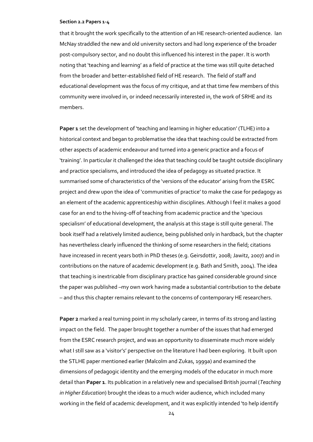that it brought the work specifically to the attention of an HE research-oriented audience. Ian McNay straddled the new and old university sectors and had long experience of the broader post-compulsory sector, and no doubt this influenced his interest in the paper. It is worth noting that 'teaching and learning' as a field of practice at the time was still quite detached from the broader and better-established field of HE research. The field of staff and educational development was the focus of my critique, and at that time few members of this community were involved in, or indeed necessarily interested in, the work of SRHE and its members.

**Paper 1** set the development of 'teaching and learning in higher education' (TLHE) into a historical context and began to problematise the idea that teaching could be extracted from other aspects of academic endeavour and turned into a generic practice and a focus of 'training'. In particular it challenged the idea that teaching could be taught outside disciplinary and practice specialisms, and introduced the idea of pedagogy as situated practice. It summarised some of characteristics of the 'versions of the educator' arising from the ESRC project and drew upon the idea of 'communities of practice' to make the case for pedagogy as an element of the academic apprenticeship within disciplines. Although I feel it makes a good case for an end to the hiving-off of teaching from academic practice and the 'specious specialism' of educational development, the analysis at this stage is still quite general. The book itself had a relatively limited audience, being published only in hardback, but the chapter has nevertheless clearly influenced the thinking of some researchers in the field; citations have increased in recent years both in PhD theses (e.g. Geirsdottir, 2008; Jawitz, 2007) and in contributions on the nature of academic development (e.g. Bath and Smith, 2004). The idea that teaching is inextricable from disciplinary practice has gained considerable ground since the paper was published –my own work having made a substantial contribution to the debate – and thus this chapter remains relevant to the concerns of contemporary HE researchers.

**Paper 2** marked a real turning point in my scholarly career, in terms of its strong and lasting impact on the field. The paper brought together a number of the issues that had emerged from the ESRC research project, and was an opportunity to disseminate much more widely what I still saw as a 'visitor's' perspective on the literature I had been exploring. It built upon the STLHE paper mentioned earlier (Malcolm and Zukas, 1999a) and examined the dimensions of pedagogic identity and the emerging models of the educator in much more detail than **Paper 1**. Its publication in a relatively new and specialised British journal (*Teaching in Higher Education*) brought the ideas to a much wider audience, which included many working in the field of academic development, and it was explicitly intended 'to help identify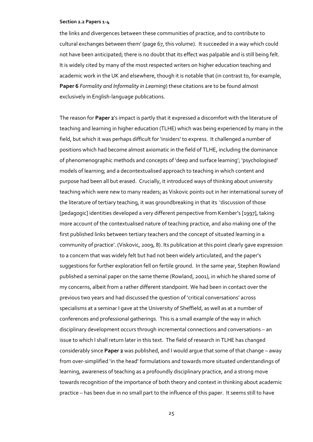the links and divergences between these communities of practice, and to contribute to cultural exchanges between them' (page 67, this volume). It succeeded in a way which could not have been anticipated; there is no doubt that its effect was palpable and is still being felt. It is widely cited by many of the most respected writers on higher education teaching and academic work in the UK and elsewhere, though it is notable that (in contrast to, for example, **Paper 6** *Formality and Informality in Learning*) these citations are to be found almost exclusively in English-language publications.

The reason for **Paper 2**'s impact is partly that it expressed a discomfort with the literature of teaching and learning in higher education (TLHE) which was being experienced by many in the field, but which it was perhaps difficult for 'insiders' to express. It challenged a number of positions which had become almost axiomatic in the field of TLHE, including the dominance of phenomenographic methods and concepts of 'deep and surface learning'; 'psychologised' models of learning; and a decontextualised approach to teaching in which content and purpose had been all but erased. Crucially, it introduced ways of thinking about university teaching which were new to many readers; as Viskovic points out in her international survey of the literature of tertiary teaching, it was groundbreaking in that its 'discussion of those [pedagogic] identities developed a very different perspective from Kember's [1997], taking more account of the contextualised nature of teaching practice, and also making one of the first published links between tertiary teachers and the concept of situated learning in a community of practice'. (Viskovic, 2009, 8). Its publication at this point clearly gave expression to a concern that was widely felt but had not been widely articulated, and the paper's suggestions for further exploration fell on fertile ground. In the same year, Stephen Rowland published a seminal paper on the same theme (Rowland, 2001), in which he shared some of my concerns, albeit from a rather different standpoint. We had been in contact over the previous two years and had discussed the question of 'critical conversations' across specialisms at a seminar I gave at the University of Sheffield, as well as at a number of conferences and professional gatherings. This is a small example of the way in which disciplinary development occurs through incremental connections and conversations – an issue to which I shall return later in this text. The field of research in TLHE has changed considerably since **Paper 2** was published, and I would argue that some of that change – away from over-simplified 'in the head' formulations and towards more situated understandings of learning, awareness of teaching as a profoundly disciplinary practice, and a strong move towards recognition of the importance of both theory and context in thinking about academic practice – has been due in no small part to the influence of this paper. It seems still to have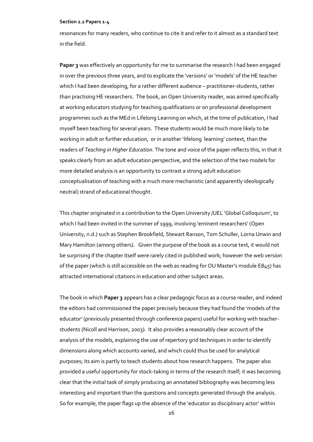resonances for many readers, who continue to cite it and refer to it almost as a standard text in the field.

**Paper 3** was effectively an opportunity for me to summarise the research I had been engaged in over the previous three years, and to explicate the 'versions' or 'models' of the HE teacher which I had been developing, for a rather different audience – practitioner-students, rather than practising HE researchers. The book, an Open University reader, was aimed specifically at working educators studying for teaching qualifications or on professional development programmes such as the MEd in Lifelong Learning on which, at the time of publication, I had myself been teaching for several years. These students would be much more likely to be working in adult or further education, or in another 'lifelong learning' context, than the readers of *Teaching in Higher Education.* The tone and voice of the paper reflects this, in that it speaks clearly from an adult education perspective, and the selection of the two models for more detailed analysis is an opportunity to contrast a strong adult education conceptualisation of teaching with a much more mechanistic (and apparently ideologically neutral) strand of educational thought.

This chapter originated in a contribution to the Open University /UEL 'Global Colloquium', to which I had been invited in the summer of 1999, involving 'eminent researchers' (Open University, n.d.) such as Stephen Brookfield, Stewart Ranson, Tom Schuller, Lorna Unwin and Mary Hamilton (among others). Given the purpose of the book as a course text, it would not be surprising if the chapter itself were rarely cited in published work; however the web version of the paper (which is still accessible on the web as reading for OU Master's module E845) has attracted international citations in education and other subject areas.

The book in which **Paper 3** appears has a clear pedagogic focus as a course reader, and indeed the editors had commissioned the paper precisely because they had found the 'models of the educator' (previously presented through conference papers) useful for working with teacherstudents (Nicoll and Harrison, 2003). It also provides a reasonably clear account of the analysis of the models, explaining the use of repertory grid techniques in order to identify dimensions along which accounts varied, and which could thus be used for analytical purposes; its aim is partly to teach students about how research happens. The paper also provided a useful opportunity for stock-taking in terms of the research itself; it was becoming clear that the initial task of simply producing an annotated bibliography was becoming less interesting and important than the questions and concepts generated through the analysis. So for example, the paper flags up the absence of the 'educator as disciplinary actor' within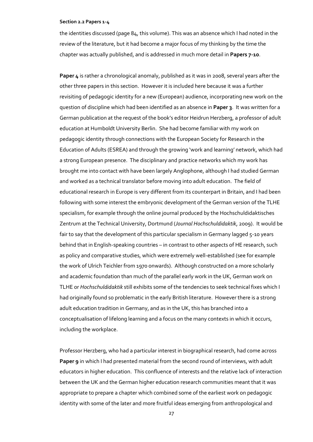the identities discussed (page 84, this volume). This was an absence which I had noted in the review of the literature, but it had become a major focus of my thinking by the time the chapter was actually published, and is addressed in much more detail in **Papers 7-10**.

**Paper 4** is rather a chronological anomaly, published as it was in 2008, several years after the other three papers in this section. However it is included here because it was a further revisiting of pedagogic identity for a new (European) audience, incorporating new work on the question of discipline which had been identified as an absence in **Paper 3**. It was written for a German publication at the request of the book's editor Heidrun Herzberg, a professor of adult education at Humboldt University Berlin. She had become familiar with my work on pedagogic identity through connections with the European Society for Research in the Education of Adults (ESREA) and through the growing 'work and learning' network, which had a strong European presence. The disciplinary and practice networks which my work has brought me into contact with have been largely Anglophone, although I had studied German and worked as a technical translator before moving into adult education. The field of educational research in Europe is very different from its counterpart in Britain, and I had been following with some interest the embryonic development of the German version of the TLHE specialism, for example through the online journal produced by the Hochschuldidaktisches Zentrum at the Technical University, Dortmund (*Journal Hochschuldidaktik*, 2009). It would be fair to say that the development of this particular specialism in Germany lagged 5-10 years behind that in English-speaking countries – in contrast to other aspects of HE research, such as policy and comparative studies, which were extremely well-established (see for example the work of Ulrich Teichler from 1970 onwards). Although constructed on a more scholarly and academic foundation than much of the parallel early work in the UK, German work on TLHE or *Hochschuldidaktik* still exhibits some of the tendencies to seek technical fixes which I had originally found so problematic in the early British literature. However there is a strong adult education tradition in Germany, and as in the UK, this has branched into a conceptualisation of lifelong learning and a focus on the many contexts in which it occurs, including the workplace.

Professor Herzberg, who had a particular interest in biographical research, had come across **Paper 9** in which I had presented material from the second round of interviews, with adult educators in higher education. This confluence of interests and the relative lack of interaction between the UK and the German higher education research communities meant that it was appropriate to prepare a chapter which combined some of the earliest work on pedagogic identity with some of the later and more fruitful ideas emerging from anthropological and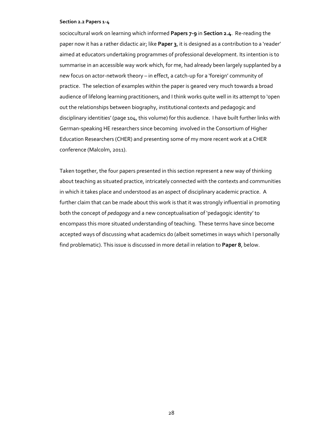sociocultural work on learning which informed **Papers 7-9** in **Section 2.4**. Re-reading the paper now it has a rather didactic air; like **Paper 3**, it is designed as a contribution to a 'reader' aimed at educators undertaking programmes of professional development. Its intention is to summarise in an accessible way work which, for me, had already been largely supplanted by a new focus on actor-network theory – in effect, a catch-up for a 'foreign' community of practice. The selection of examples within the paper is geared very much towards a broad audience of lifelong learning practitioners, and I think works quite well in its attempt to 'open out the relationships between biography, institutional contexts and pedagogic and disciplinary identities' (page 104, this volume) for this audience. I have built further links with German-speaking HE researchers since becoming involved in the Consortium of Higher Education Researchers (CHER) and presenting some of my more recent work at a CHER conference (Malcolm, 2011).

Taken together, the four papers presented in this section represent a new way of thinking about teaching as situated practice, intricately connected with the contexts and communities in which it takes place and understood as an aspect of disciplinary academic practice. A further claim that can be made about this work is that it was strongly influential in promoting both the concept of *pedagogy* and a new conceptualisation of 'pedagogic identity' to encompass this more situated understanding of teaching. These terms have since become accepted ways of discussing what academics do (albeit sometimes in ways which I personally find problematic). This issue is discussed in more detail in relation to **Paper 8**, below.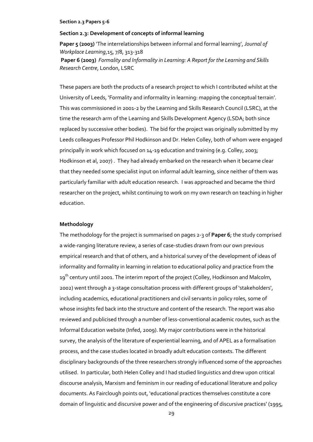## **Section 2.3: Development of concepts of informal learning**

**Paper 5 (2003)** 'The interrelationships between informal and formal learning', *Journal of Workplace Learning*,15, 7/8, 313-318 **Paper 6 (2003)** *Formality and Informality in Learning: A Report for the Learning and Skills Research Centre*, London, LSRC

These papers are both the products of a research project to which I contributed whilst at the University of Leeds, 'Formality and informality in learning: mapping the conceptual terrain'. This was commissioned in 2001-2 by the Learning and Skills Research Council (LSRC), at the time the research arm of the Learning and Skills Development Agency (LSDA; both since replaced by successive other bodies). The bid for the project was originally submitted by my Leeds colleagues Professor Phil Hodkinson and Dr. Helen Colley, both of whom were engaged principally in work which focused on 14-19 education and training (e.g. Colley, 2003; Hodkinson et al, 2007) . They had already embarked on the research when it became clear that they needed some specialist input on informal adult learning, since neither of them was particularly familiar with adult education research. I was approached and became the third researcher on the project, whilst continuing to work on my own research on teaching in higher education.

## **Methodology**

The methodology for the project is summarised on pages 2-3 of **Paper 6**; the study comprised a wide-ranging literature review, a series of case-studies drawn from our own previous empirical research and that of others, and a historical survey of the development of ideas of informality and formality in learning in relation to educational policy and practice from the 19<sup>th</sup> century until 2001. The interim report of the project (Colley, Hodkinson and Malcolm, 2002) went through a 3-stage consultation process with different groups of 'stakeholders', including academics, educational practitioners and civil servants in policy roles, some of whose insights fed back into the structure and content of the research. The report was also reviewed and publicised through a number of less-conventional academic routes, such as the Informal Education website (Infed, 2009). My major contributions were in the historical survey, the analysis of the literature of experiential learning, and of APEL as a formalisation process, and the case studies located in broadly adult education contexts. The different disciplinary backgrounds of the three researchers strongly influenced some of the approaches utilised. In particular, both Helen Colley and I had studied linguistics and drew upon critical discourse analysis, Marxism and feminism in our reading of educational literature and policy documents. As Fairclough points out, 'educational practices themselves constitute a core domain of linguistic and discursive power and of the engineering of discursive practices' (1995,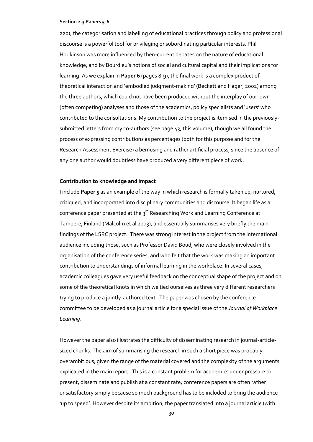220); the categorisation and labelling of educational practices through policy and professional discourse is a powerful tool for privileging or subordinating particular interests. Phil Hodkinson was more influenced by then-current debates on the nature of educational knowledge, and by Bourdieu's notions of social and cultural capital and their implications for learning. As we explain in **Paper 6** (pages 8-9), the final work is a complex product of theoretical interaction and 'embodied judgment-making' (Beckett and Hager, 2002) among the three authors, which could not have been produced without the interplay of our own (often competing) analyses and those of the academics, policy specialists and 'users' who contributed to the consultations. My contribution to the project is itemised in the previouslysubmitted letters from my co-authors (see page 43, this volume), though we all found the process of expressing contributions as percentages (both for this purpose and for the Research Assessment Exercise) a bemusing and rather artificial process, since the absence of any one author would doubtless have produced a very different piece of work.

## **Contribution to knowledge and impact**

I include **Paper 5** as an example of the way in which research is formally taken up, nurtured, critiqued, and incorporated into disciplinary communities and discourse. It began life as a conference paper presented at the  $3^{rd}$  Researching Work and Learning Conference at Tampere, Finland (Malcolm et al 2003), and essentially summarises very briefly the main findings of the LSRC project. There was strong interest in the project from the international audience including those, such as Professor David Boud, who were closely involved in the organisation of the conference series, and who felt that the work was making an important contribution to understandings of informal learning in the workplace. In several cases, academic colleagues gave very useful feedback on the conceptual shape of the project and on some of the theoretical knots in which we tied ourselves as three very different researchers trying to produce a jointly-authored text. The paper was chosen by the conference committee to be developed as a journal article for a special issue of the *Journal of Workplace Learning*.

However the paper also illustrates the difficulty of disseminating research in journal-articlesized chunks. The aim of summarising the research in such a short piece was probably overambitious, given the range of the material covered and the complexity of the arguments explicated in the main report. This is a constant problem for academics under pressure to present, disseminate and publish at a constant rate; conference papers are often rather unsatisfactory simply because so much background has to be included to bring the audience 'up to speed'. However despite its ambition, the paper translated into a journal article (with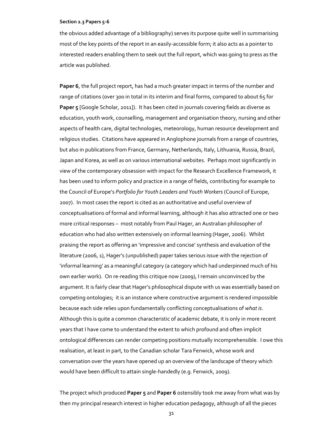the obvious added advantage of a bibliography) serves its purpose quite well in summarising most of the key points of the report in an easily-accessible form; it also acts as a pointer to interested readers enabling them to seek out the full report, which was going to press as the article was published.

**Paper 6**, the full project report, has had a much greater impact in terms of the number and range of citations (over 300 in total in its interim and final forms, compared to about 65 for Paper 5<sup></sup> [Google Scholar, 2011]). It has been cited in journals covering fields as diverse as education, youth work, counselling, management and organisation theory, nursing and other aspects of health care, digital technologies, meteorology, human resource development and religious studies. Citations have appeared in Anglophone journals from a range of countries, but also in publications from France, Germany, Netherlands, Italy, Lithuania, Russia, Brazil, Japan and Korea, as well as on various international websites. Perhaps most significantly in view of the contemporary obsession with impact for the Research Excellence Framework, it has been used to inform policy and practice in a range of fields, contributing for example to the Council of Europe's *Portfolio for Youth Leaders and Youth Workers* (Council of Europe, 2007). In most cases the report is cited as an authoritative and useful overview of conceptualisations of formal and informal learning, although it has also attracted one or two more critical responses – most notably from Paul Hager, an Australian philosopher of education who had also written extensively on informal learning (Hager, 2006). Whilst praising the report as offering an 'impressive and concise' synthesis and evaluation of the literature (2006, 1), Hager's (unpublished) paper takes serious issue with the rejection of 'informal learning' as a meaningful category (a category which had underpinned much of his own earlier work). On re-reading this critique now (2009), I remain unconvinced by the argument. It is fairly clear that Hager's philosophical dispute with us was essentially based on competing ontologies; it is an instance where constructive argument is rendered impossible because each side relies upon fundamentally conflicting conceptualisations of *what is*. Although this is quite a common characteristic of academic debate, it is only in more recent years that I have come to understand the extent to which profound and often implicit ontological differences can render competing positions mutually incomprehensible. I owe this realisation, at least in part, to the Canadian scholar Tara Fenwick, whose work and conversation over the years have opened up an overview of the landscape of theory which would have been difficult to attain single-handedly (e.g. Fenwick, 2009).

The project which produced **Paper 5** and **Paper 6** ostensibly took me away from what was by then my principal research interest in higher education pedagogy, although of all the pieces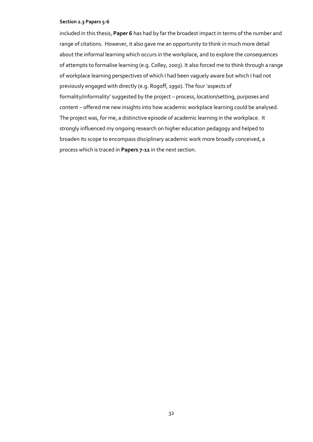included in this thesis, **Paper 6** has had by far the broadest impact in terms of the number and range of citations. However, it also gave me an opportunity to think in much more detail about the informal learning which occurs in the workplace, and to explore the consequences of attempts to formalise learning (e.g. Colley, 2003). It also forced me to think through a range of workplace learning perspectives of which I had been vaguely aware but which I had not previously engaged with directly (e.g. Rogoff, 1990). The four 'aspects of formality/informality' suggested by the project – process, location/setting, purposes and content – offered me new insights into how academic workplace learning could be analysed. The project was, for me, a distinctive episode of academic learning in the workplace. It strongly influenced my ongoing research on higher education pedagogy and helped to broaden its scope to encompass disciplinary academic work more broadly conceived, a process which is traced in **Papers 7-11** in the next section.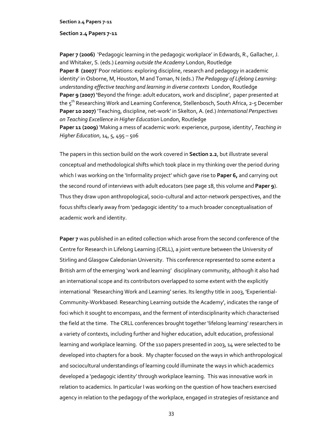## **Section 2.4 Papers 7-11**

Paper 7 (2006) *'Pedagogic learning in the pedagogic workplace' in Edwards, R., Gallacher, J.* and Whitaker, S. (eds.) *Learning outside the Academy* London, Routledge Paper 8 (2007)<sup>'</sup> Poor relations: exploring discipline, research and pedagogy in academic identity' in Osborne, M, Houston, M and Toman, N (eds.) *The Pedagogy of Lifelong Learning: understanding effective teaching and learning in diverse contexts* London, Routledge **Paper 9 (2007) '**Beyond the fringe: adult educators, work and discipline', paper presented at the 5<sup>th</sup> Researching Work and Learning Conference, Stellenbosch, South Africa, 2-5 December **Paper 10 2007)** 'Teaching, discipline, net-work' in Skelton, A. (ed.) *International Perspectives on Teaching Excellence in Higher Education* London, Routledge **Paper 11 (2009)** 'Making a mess of academic work: experience, purpose, identity', *Teaching in Higher Education*, 14, 5, 495 – 506

The papers in this section build on the work covered in **Section 2.2**, but illustrate several conceptual and methodological shifts which took place in my thinking over the period during which I was working on the 'Informality project' which gave rise to **Paper 6,** and carrying out the second round of interviews with adult educators (see page 18, this volume and **Paper 9**). Thus they draw upon anthropological, socio-cultural and actor-network perspectives, and the focus shifts clearly away from 'pedagogic identity' to a much broader conceptualisation of academic work and identity.

**Paper 7** was published in an edited collection which arose from the second conference of the Centre for Research in Lifelong Learning (CRLL), a joint venture between the University of Stirling and Glasgow Caledonian University. This conference represented to some extent a British arm of the emerging 'work and learning' disciplinary community, although it also had an international scope and its contributors overlapped to some extent with the explicitly international 'Researching Work and Learning' series. Its lengthy title in 2003, 'Experiential-Community-Workbased: Researching Learning outside the Academy', indicates the range of foci which it sought to encompass, and the ferment of interdisciplinarity which characterised the field at the time. The CRLL conferences brought together 'lifelong learning' researchers in a variety of contexts, including further and higher education, adult education, professional learning and workplace learning. Of the 110 papers presented in 2003, 14 were selected to be developed into chapters for a book. My chapter focused on the ways in which anthropological and sociocultural understandings of learning could illuminate the ways in which academics developed a 'pedagogic identity' through workplace learning. This was innovative work in relation to academics. In particular I was working on the question of how teachers exercised agency in relation to the pedagogy of the workplace, engaged in strategies of resistance and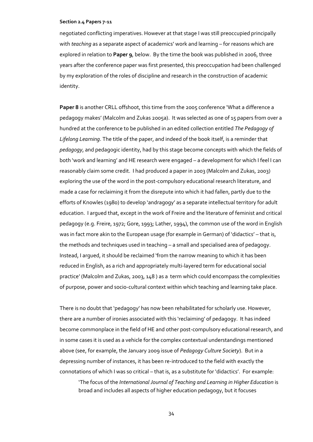negotiated conflicting imperatives. However at that stage I was still preoccupied principally with *teaching* as a separate aspect of academics' work and learning – for reasons which are explored in relation to **Paper 9**, below. By the time the book was published in 2006, three years after the conference paper was first presented, this preoccupation had been challenged by my exploration of the roles of discipline and research in the construction of academic identity.

**Paper 8** is another CRLL offshoot, this time from the 2005 conference 'What a difference a pedagogy makes' (Malcolm and Zukas 2005a). It was selected as one of 15 papers from over a hundred at the conference to be published in an edited collection entitled *The Pedagogy of Lifelong Learning*. The title of the paper, and indeed of the book itself, is a reminder that *pedagogy*, and pedagogic identity, had by this stage become concepts with which the fields of both 'work and learning' and HE research were engaged – a development for which I feel I can reasonably claim some credit. I had produced a paper in 2003 (Malcolm and Zukas, 2003) exploring the use of the word in the post-compulsory educational research literature, and made a case for reclaiming it from the disrepute into which it had fallen, partly due to the efforts of Knowles (1980) to develop 'andragogy' as a separate intellectual territory for adult education. I argued that, except in the work of Freire and the literature of feminist and critical pedagogy (e.g. Freire, 1972; Gore, 1993; Lather, 1994), the common use of the word in English was in fact more akin to the European usage (for example in German) of 'didactics' – that is, the methods and techniques used in teaching – a small and specialised area of pedagogy. Instead, I argued, it should be reclaimed 'from the narrow meaning to which it has been reduced in English, as a rich and appropriately multi-layered term for educational social practice' (Malcolm and Zukas, 2003, 148 ) as a term which could encompass the complexities of purpose, power and socio-cultural context within which teaching and learning take place.

There is no doubt that 'pedagogy' has now been rehabilitated for scholarly use. However, there are a number of ironies associated with this 'reclaiming' of pedagogy. It has indeed become commonplace in the field of HE and other post-compulsory educational research, and in some cases it is used as a vehicle for the complex contextual understandings mentioned above (see, for example, the January 2009 issue of *Pedagogy Culture Society*). But in a depressing number of instances, it has been re-introduced to the field with exactly the connotations of which I was so critical – that is, as a substitute for 'didactics'. For example:

'The focus of the *International Journal of Teaching and Learning in Higher Education* is broad and includes all aspects of higher education pedagogy, but it focuses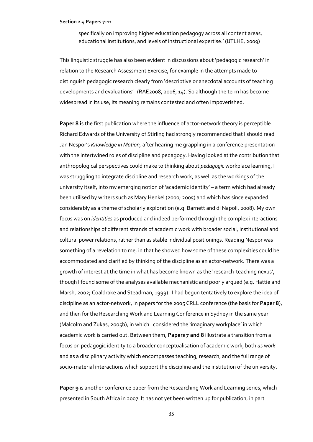specifically on improving higher education pedagogy across all content areas, educational institutions, and levels of instructional expertise.' (IJTLHE, 2009)

This linguistic struggle has also been evident in discussions about 'pedagogic research' in relation to the Research Assessment Exercise, for example in the attempts made to distinguish pedagogic research clearly from 'descriptive or anecdotal accounts of teaching developments and evaluations' (RAE2008, 2006, 14). So although the term has become widespread in its use, its meaning remains contested and often impoverished.

**Paper 8 i**s the first publication where the influence of actor-network theory is perceptible. Richard Edwards of the University of Stirling had strongly recommended that I should read Jan Nespor's *Knowledge in Motion,* after hearing me grappling in a conference presentation with the intertwined roles of discipline and pedagogy. Having looked at the contribution that anthropological perspectives could make to thinking about *pedagogic* workplace learning, I was struggling to integrate discipline and research work, as well as the workings of the university itself, into my emerging notion of 'academic identity' – a term which had already been utilised by writers such as Mary Henkel (2000; 2005) and which has since expanded considerably as a theme of scholarly exploration (e.g. Barnett and di Napoli, 2008). My own focus was on *identities* as produced and indeed performed through the complex interactions and relationships of different strands of academic work with broader social, institutional and cultural power relations, rather than as stable individual positionings. Reading Nespor was something of a revelation to me, in that he showed how some of these complexities could be accommodated and clarified by thinking of the discipline as an actor-network. There was a growth of interest at the time in what has become known as the 'research-teaching nexus', though I found some of the analyses available mechanistic and poorly argued (e.g. Hattie and Marsh, 2002; Coaldrake and Steadman, 1999). I had begun tentatively to explore the idea of discipline as an actor-network, in papers for the 2005 CRLL conference (the basis for **Paper 8**), and then for the Researching Work and Learning Conference in Sydney in the same year (Malcolm and Zukas, 2005b), in which I considered the 'imaginary workplace' in which academic work is carried out. Between them, **Papers 7 and 8** illustrate a transition from a focus on pedagogic identity to a broader conceptualisation of academic work, both *as work*  and as a disciplinary activity which encompasses teaching, research, and the full range of socio-material interactions which support the discipline and the institution of the university.

**Paper 9** is another conference paper from the Researching Work and Learning series, which I presented in South Africa in 2007. It has not yet been written up for publication, in part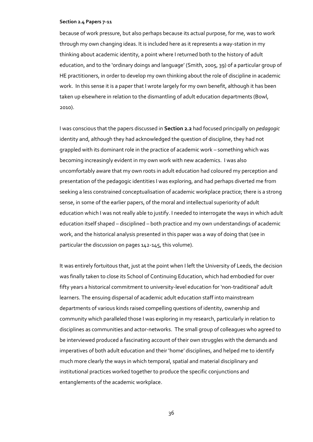because of work pressure, but also perhaps because its actual purpose, for me, was to work through my own changing ideas. It is included here as it represents a way-station in my thinking about academic identity, a point where I returned both to the history of adult education, and to the 'ordinary doings and language' (Smith, 2005, 39) of a particular group of HE practitioners, in order to develop my own thinking about the role of discipline in academic work. In this sense it is a paper that I wrote largely for my own benefit, although it has been taken up elsewhere in relation to the dismantling of adult education departments (Bowl, 2010).

I was conscious that the papers discussed in **Section 2.2** had focused principally on *pedagogic* identity and, although they had acknowledged the question of discipline, they had not grappled with its dominant role in the practice of academic work – something which was becoming increasingly evident in my own work with new academics. I was also uncomfortably aware that my own roots in adult education had coloured my perception and presentation of the pedagogic identities I was exploring, and had perhaps diverted me from seeking a less constrained conceptualisation of academic workplace practice; there is a strong sense, in some of the earlier papers, of the moral and intellectual superiority of adult education which I was not really able to justify. I needed to interrogate the ways in which adult education itself shaped – disciplined – both practice and my own understandings of academic work, and the historical analysis presented in this paper was a way of doing that (see in particular the discussion on pages 142-145, this volume).

It was entirely fortuitous that, just at the point when I left the University of Leeds, the decision was finally taken to close its School of Continuing Education, which had embodied for over fifty years a historical commitment to university-level education for 'non-traditional' adult learners. The ensuing dispersal of academic adult education staff into mainstream departments of various kinds raised compelling questions of identity, ownership and community which paralleled those I was exploring in my research, particularly in relation to disciplines as communities and actor-networks. The small group of colleagues who agreed to be interviewed produced a fascinating account of their own struggles with the demands and imperatives of both adult education and their 'home' disciplines, and helped me to identify much more clearly the ways in which temporal, spatial and material disciplinary and institutional practices worked together to produce the specific conjunctions and entanglements of the academic workplace.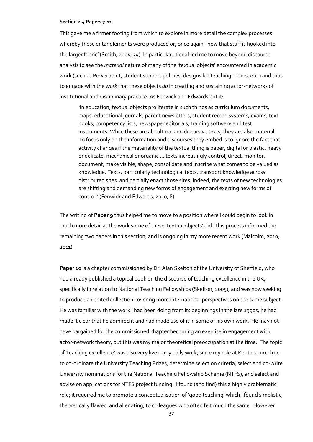This gave me a firmer footing from which to explore in more detail the complex processes whereby these entanglements were produced or, once again, 'how that stuff is hooked into the larger fabric' (Smith, 2005, 39). In particular, it enabled me to move beyond discourse analysis to see the *material* nature of many of the 'textual objects' encountered in academic work (such as Powerpoint, student support policies, designs for teaching rooms, etc.) and thus to engage with the *work* that these objects *do* in creating and sustaining actor-networks of institutional and disciplinary practice. As Fenwick and Edwards put it:

'In education, textual objects proliferate in such things as curriculum documents, maps, educational journals, parent newsletters, student record systems, exams, text books, competency lists, newspaper editorials, training software and test instruments. While these are all cultural and discursive texts, they are also material. To focus only on the information and discourses they embed is to ignore the fact that activity changes if the materiality of the textual thing is paper, digital or plastic, heavy or delicate, mechanical or organic … texts increasingly control, direct, monitor, document, make visible, shape, consolidate and inscribe what comes to be valued as knowledge. Texts, particularly technological texts, transport knowledge across distributed sites, and partially enact those sites. Indeed, the texts of new technologies are shifting and demanding new forms of engagement and exerting new forms of control.' (Fenwick and Edwards, 2010, 8)

The writing of **Paper 9** thus helped me to move to a position where I could begin to look in much more detail at the work some of these 'textual objects' did. This process informed the remaining two papers in this section, and is ongoing in my more recent work (Malcolm, 2010; 2011).

Paper 10 is a chapter commissioned by Dr. Alan Skelton of the University of Sheffield, who had already published a topical book on the discourse of teaching excellence in the UK, specifically in relation to National Teaching Fellowships (Skelton, 2005), and was now seeking to produce an edited collection covering more international perspectives on the same subject. He was familiar with the work I had been doing from its beginnings in the late 1990s; he had made it clear that he admired it and had made use of it in some of his own work. He may not have bargained for the commissioned chapter becoming an exercise in engagement with actor-network theory, but this was my major theoretical preoccupation at the time. The topic of 'teaching excellence' was also very live in my daily work, since my role at Kent required me to co-ordinate the University Teaching Prizes, determine selection criteria, select and co-write University nominations for the National Teaching Fellowship Scheme (NTFS), and select and advise on applications for NTFS project funding. I found (and find) this a highly problematic role; it required me to promote a conceptualisation of 'good teaching' which I found simplistic, theoretically flawed and alienating, to colleagues who often felt much the same. However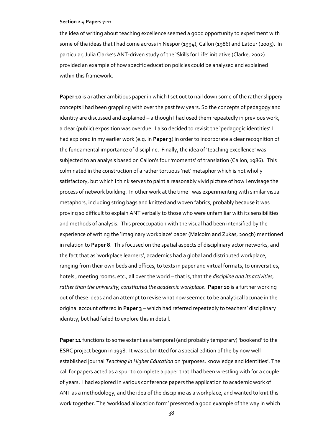the idea of writing about teaching excellence seemed a good opportunity to experiment with some of the ideas that I had come across in Nespor (1994), Callon (1986) and Latour (2005). In particular, Julia Clarke's ANT-driven study of the 'Skills for Life' initiative (Clarke, 2002) provided an example of how specific education policies could be analysed and explained within this framework.

**Paper 10** is a rather ambitious paper in which I set out to nail down some of the rather slippery concepts I had been grappling with over the past few years. So the concepts of pedagogy and identity are discussed and explained – although I had used them repeatedly in previous work, a clear (public) exposition was overdue. I also decided to revisit the 'pedagogic identities' I had explored in my earlier work (e.g. in **Paper 3**) in order to incorporate a clear recognition of the fundamental importance of discipline. Finally, the idea of 'teaching excellence' was subjected to an analysis based on Callon's four 'moments' of translation (Callon, 1986). This culminated in the construction of a rather tortuous 'net' metaphor which is not wholly satisfactory, but which I think serves to paint a reasonably vivid picture of how I envisage the process of network building. In other work at the time I was experimenting with similar visual metaphors, including string bags and knitted and woven fabrics, probably because it was proving so difficult to explain ANT verbally to those who were unfamiliar with its sensibilities and methods of analysis. This preoccupation with the visual had been intensified by the experience of writing the 'imaginary workplace' paper (Malcolm and Zukas, 2005b) mentioned in relation to **Paper 8**. This focused on the spatial aspects of disciplinary actor networks, and the fact that as 'workplace learners', academics had a global and distributed workplace, ranging from their own beds and offices, to texts in paper and virtual formats, to universities, hotels , meeting rooms, etc., all over the world – that is, that the *discipline and its activities, rather than the university, constituted the academic workplace*. **Paper 10** is a further working out of these ideas and an attempt to revise what now seemed to be analytical lacunae in the original account offered in **Paper 3** – which had referred repeatedly to teachers' disciplinary identity, but had failed to explore this in detail.

**Paper 11** functions to some extent as a temporal (and probably temporary) 'bookend' to the ESRC project begun in 1998. It was submitted for a special edition of the by now wellestablished journal *Teaching in Higher Education* on 'purposes, knowledge and identities'. The call for papers acted as a spur to complete a paper that I had been wrestling with for a couple of years. I had explored in various conference papers the application to academic work of ANT as a methodology, and the idea of the discipline as a workplace, and wanted to knit this work together. The 'workload allocation form' presented a good example of the way in which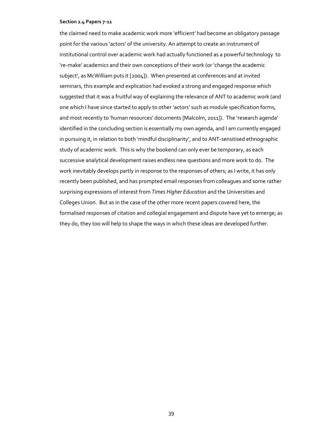the claimed need to make academic work more 'efficient' had become an obligatory passage point for the various 'actors' of the university. An attempt to create an instrument of institutional control over academic work had actually functioned as a powerful technology to 're-make' academics and their own conceptions of their work (or 'change the academic subject', as McWilliam puts it [2004]). When presented at conferences and at invited seminars, this example and explication had evoked a strong and engaged response which suggested that it was a fruitful way of explaining the relevance of ANT to academic work (and one which I have since started to apply to other 'actors' such as module specification forms, and most recently to 'human resources' documents [Malcolm, 2011]). The 'research agenda' identified in the concluding section is essentially my own agenda, and I am currently engaged in pursuing it, in relation to both 'mindful disciplinarity', and to ANT-sensitised ethnographic study of academic work. This is why the bookend can only ever be temporary, as each successive analytical development raises endless new questions and more work to do. The work inevitably develops partly in response to the responses of others; as I write, it has only recently been published, and has prompted email responses from colleagues and some rather surprising expressions of interest from *Times Higher Education* and the Universities and Colleges Union. But as in the case of the other more recent papers covered here, the formalised responses of citation and collegial engagement and dispute have yet to emerge; as they do, they too will help to shape the ways in which these ideas are developed further.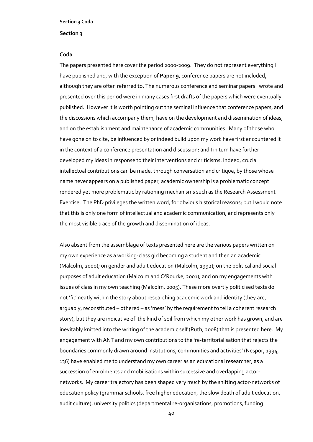## **Section 3**

## **Coda**

The papers presented here cover the period 2000-2009. They do not represent everything I have published and, with the exception of **Paper 9**, conference papers are not included, although they are often referred to. The numerous conference and seminar papers I wrote and presented over this period were in many cases first drafts of the papers which were eventually published. However it is worth pointing out the seminal influence that conference papers, and the discussions which accompany them, have on the development and dissemination of ideas, and on the establishment and maintenance of academic communities. Many of those who have gone on to cite, be influenced by or indeed build upon my work have first encountered it in the context of a conference presentation and discussion; and I in turn have further developed my ideas in response to their interventions and criticisms. Indeed, crucial intellectual contributions can be made, through conversation and critique, by those whose name never appears on a published paper; academic ownership is a problematic concept rendered yet more problematic by rationing mechanisms such as the Research Assessment Exercise. The PhD privileges the written word, for obvious historical reasons; but I would note that this is only one form of intellectual and academic communication, and represents only the most visible trace of the growth and dissemination of ideas.

Also absent from the assemblage of texts presented here are the various papers written on my own experience as a working-class girl becoming a student and then an academic (Malcolm, 2000); on gender and adult education (Malcolm, 1992); on the political and social purposes of adult education (Malcolm and O'Rourke, 2001); and on my engagements with issues of class in my own teaching (Malcolm, 2005). These more overtly politicised texts do not 'fit' neatly within the story about researching academic work and identity (they are, arguably, reconstituted – othered – as 'mess' by the requirement to tell a coherent research story), but they are indicative of the kind of soil from which my other work has grown, and are inevitably knitted into the writing of the academic self (Ruth, 2008) that is presented here. My engagement with ANT and my own contributions to the 're-territorialisation that rejects the boundaries commonly drawn around institutions, communities and activities' (Nespor, 1994, 136) have enabled me to understand my own career as an educational researcher, as a succession of enrolments and mobilisations within successive and overlapping actornetworks. My career trajectory has been shaped very much by the shifting actor-networks of education policy (grammar schools, free higher education, the slow death of adult education, audit culture), university politics (departmental re-organisations, promotions, funding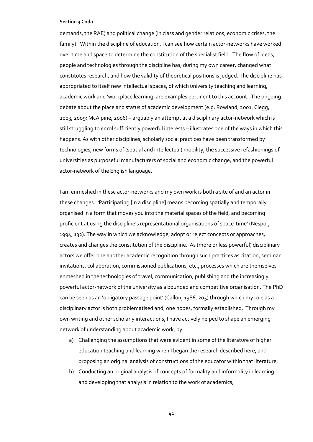demands, the RAE) and political change (in class and gender relations, economic crises, the family). Within the discipline of education, I can see how certain actor-networks have worked over time and space to determine the constitution of the specialist field. The flow of ideas, people and technologies through the discipline has, during my own career, changed what constitutes research, and how the validity of theoretical positions is judged. The discipline has appropriated to itself new intellectual spaces, of which university teaching and learning, academic work and 'workplace learning' are examples pertinent to this account. The ongoing debate about the place and status of academic development (e.g. Rowland, 2001; Clegg, 2003, 2009; McAlpine, 2006) – arguably an attempt at a disciplinary actor-network which is still struggling to enrol sufficiently powerful interests – illustrates one of the ways in which this happens. As with other disciplines, scholarly social practices have been transformed by technologies, new forms of (spatial and intellectual) mobility, the successive refashionings of universities as purposeful manufacturers of social and economic change, and the powerful actor-network of the English language.

I am enmeshed in these actor-networks and my own work is both a site of and an actor in these changes. 'Participating [in a discipline] means becoming spatially and temporally organised in a form that moves you into the material spaces of the field, and becoming proficient at using the discipline's representational organisations of space-time' (Nespor, 1994, 132). The way in which we acknowledge, adopt or reject concepts or approaches, creates and changes the constitution of the discipline. As (more or less powerful) disciplinary actors we offer one another academic recognition through such practices as citation, seminar invitations, collaboration, commissioned publications, etc., processes which are themselves enmeshed in the technologies of travel, communication, publishing and the increasingly powerful actor-network of the university as a bounded and competitive organisation. The PhD can be seen as an 'obligatory passage point' (Callon, 1986, 205) through which my role as a disciplinary actor is both problematised and, one hopes, formally established. Through my own writing and other scholarly interactions, I have actively helped to shape an emerging network of understanding about academic work, by

- a) Challenging the assumptions that were evident in some of the literature of higher education teaching and learning when I began the research described here, and proposing an original analysis of constructions of the educator within that literature;
- b) Conducting an original analysis of concepts of formality and informality in learning and developing that analysis in relation to the work of academics;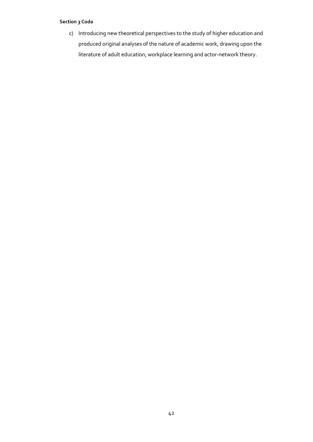c) Introducing new theoretical perspectives to the study of higher education and produced original analyses of the nature of academic work, drawing upon the literature of adult education, workplace learning and actor-network theory.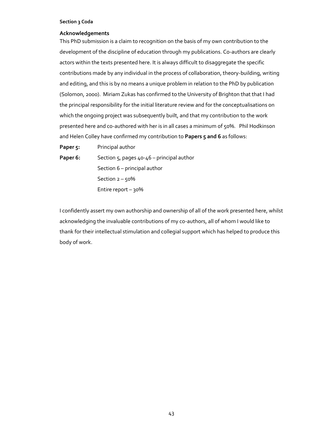## **Acknowledgements**

This PhD submission is a claim to recognition on the basis of my own contribution to the development of the discipline of education through my publications. Co-authors are clearly actors within the texts presented here. It is always difficult to disaggregate the specific contributions made by any individual in the process of collaboration, theory-building, writing and editing, and this is by no means a unique problem in relation to the PhD by publication (Solomon, 2000). Miriam Zukas has confirmed to the University of Brighton that that I had the principal responsibility for the initial literature review and for the conceptualisations on which the ongoing project was subsequently built, and that my contribution to the work presented here and co-authored with her is in all cases a minimum of 50%. Phil Hodkinson and Helen Colley have confirmed my contribution to **Papers 5 and 6** as follows:

Paper 5: Principal author Paper 6: Section 5, pages 40-46 – principal author Section 6 – principal author Section  $2 - 50%$ Entire report – 30%

I confidently assert my own authorship and ownership of all of the work presented here, whilst acknowledging the invaluable contributions of my co-authors, all of whom I would like to thank for their intellectual stimulation and collegial support which has helped to produce this body of work.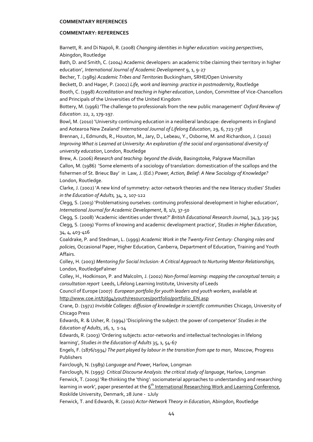## **COMMENTARY: REFERENCES**

Barnett, R. and Di Napoli, R. (2008) *Changing identities in higher education: voicing perspectives*, Abingdon, Routledge

Bath, D. and Smith, C. (2004) Academic developers: an academic tribe claiming their territory in higher education', *International Journal of Academic Development* 9, 1, 9-27

Becher, T. (1989) *Academic Tribes and Territories* Buckingham, SRHE/Open University

Beckett, D. and Hager, P. (2002) *Life, work and learning: practice in postmodernity*, Routledge

Booth, C. (1998) *Accreditation and teaching in higher education*, London, Committee of Vice-Chancellors and Principals of the Universities of the United Kingdom

Bottery, M. (1996) 'The challenge to professionals from the new public management' *Oxford Review of Education*. 22, 2, 179-197.

Bowl, M. (2010) 'University continuing education in a neoliberal landscape: developments in England and Aotearoa New Zealand' *International Journal of Lifelong Education*, 29, 6, 723-738 Brennan, J., Edmunds, R., Houston, M., Jary, D., Lebeau, Y., Osborne, M. and Richardson, J. (2010) *Improving What is Learned at University: An exploration of the social and organisational diversity of university education*, London, Routledge

Brew, A. (2006) *Research and teaching: beyond the divide*, Basingstoke, Palgrave Macmillan Callon, M. (1986) 'Some elements of a sociology of translation: domestication of the scallops and the fishermen of St. Brieuc Bay' in Law, J. (Ed.) *Power, Action, Belief: A New Sociology of Knowledge?* London, Routledge.

Clarke, J. (2002) 'A new kind of symmetry: actor-network theories and the new literacy studies' *Studies in the Education of Adults,* 34, 2, 107-122

Clegg, S. (2003) 'Problematising ourselves: continuing professional development in higher education', *International Journal for Academic Development*, 8, 1/2, 37-50

Clegg, S. (2008) 'Academic identities under threat?' *British Educational Research Journal*, 34,3, 329-345 Clegg, S. (2009) 'Forms of knowing and academic development practice', *Studies in Higher Education*, 34, 4, 403-416

Coaldrake, P. and Stedman, L. (1999) *Academic Work in the Twenty First Century: Changing roles and policies,* Occasional Paper, Higher Education, Canberra, Department of Education, Training and Youth Affairs.

Colley, H. (2003) *Mentoring for Social Inclusion: A Critical Approach to Nurturing Mentor Relationships,* London, RoutledgeFalmer

Colley, H., Hodkinson, P. and Malcolm, J. (2002) *Non-formal learning: mapping the conceptual terrain; a consultation report* Leeds, Lifelong Learning Institute, University of Leeds

Council of Europe (2007) *European portfolio for youth leaders and youth workers*, available at [http://www.coe.int/t/dg4/youth/resources/portfolio/portfolio\\_EN.asp](http://www.coe.int/t/dg4/youth/resources/portfolio/portfolio_EN.asp)

Crane, D. (1972) *Invisible Colleges: diffusion of knowledge in scientific communities* Chicago, University of Chicago Press

Edwards, R. & Usher, R. (1994) 'Disciplining the subject: the power of competence' *Studies in the Education of Adults*, 26, 1, 1-14

Edwards, R. (2003) 'Ordering subjects: actor-networks and intellectual technologies in lifelong learning', *Studies in the Education of Adults* 35, 1, 54-67

Engels, F. (1876/1934*) The part played by labour in the transition from ape to man*, Moscow, Progress Publishers

Fairclough, N. (1989) *Language and Power*, Harlow, Longman

Fairclough, N. (1995) *Critical Discourse Analysis: the critical study of language*, Harlow, Longman Fenwick, T. (2009) 'Re-thinking the 'thing': sociomaterial approaches to understanding and researching learning in work', paper presented at the 6<sup>th</sup> International Researching Work and Learning Conference, Roskilde University, Denmark, 28 June - 1July

Fenwick, T. and Edwards, R. (2010) *Actor-Network Theory in Education*, Abingdon, Routledge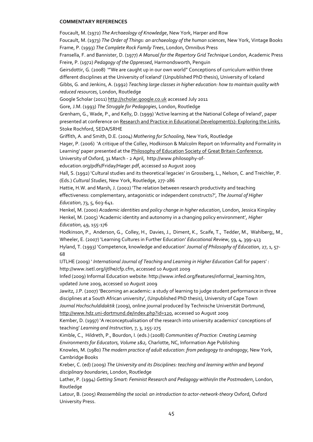Foucault, M. (1972) *The Archaeology of Knowledge*, New York, Harper and Row

Foucault, M. (1973) *The Order of Things: an archaeology of the human sciences*, New York, Vintage Books Frame, P. (1993) *The Complete Rock Family Trees*, London, Omnibus Press

Fransella, F. and Bannister, D. (1977) *A Manual for the Repertory Grid Technique* London, Academic Press Freire, P. (1972) *Pedagogy of the Oppressed*, Harmondsworth, Penguin

Geirsdottir, G. (2008) '"We are caught up in our own world" Conceptions of curriculum within three different disciplines at the University of Iceland' (Unpublished PhD thesis), University of Iceland Gibbs, G. and Jenkins, A. (1992) *Teaching large classes in higher education: how to maintain quality with reduced resources,* London, Routledge

Google Scholar (2011[\) http://scholar.google.co.uk](http://scholar.google.co.uk/) accessed July 2011

Gore, J.M. (1993) *The Struggle for Pedagogies*, London, Routledge

Grenham, G., Wade, P., and Kelly, D. (1999) 'Active learning at the National College of Ireland', paper presented at conference on Research and Practice in Educational Development(s): Exploring the Links, Stoke Rochford, SEDA/SRHE

Griffith, A. and Smith, D.E. (2004) *Mothering for Schooling*, New York, Routledge

Hager, P. (2006) 'A critique of the Colley, Hodkinson & Malcolm Report on Informality and Formality in Learning' paper presented at the Philosophy of Education Society of Great Britain Conference,

University of Oxford, 31 March - 2 April, http://www.philosophy-of-

education.org/pdfs/Friday/Hager.pdf, accessed 10 August 2009

Hall, S. (1992) 'Cultural studies and its theoretical legacies' in Grossberg, L., Nelson, C. and Treichler, P. (Eds.) *Cultural Studies*, New York, Routledge, 277-286

Hattie, H.W. and Marsh, J. (2002) 'The relation between research productivity and teaching effectiveness: complementary, antagonistic or independent constructs?', *The Journal of Higher Education*, 73, 5, 603-641.

Henkel, M. (2000) *Academic identities and policy change in higher education*, London, Jessica Kingsley Henkel, M. (2005) 'Academic identity and autonomy in a changing policy environment'*, Higher Education*, 49, 155-176

Hodkinson, P., Anderson, G., Colley, H., Davies, J., Diment, K., Scaife, T., Tedder, M., Wahlberg;, M., Wheeler, E. (2007) 'Learning Cultures in Further Education' *Educational Review*, 59, 4, 399-413 Hyland, T. (1993) 'Competence, knowledge and education' *Journal of Philosophy of Education*, 27, 1, 57- 68

IJTLHE (2009) ' *International Journal of Teaching and Learning in Higher Education* Call for papers' : http://www.isetl.org/ijtlhe/cfp.cfm, accessed 10 August 2009

Infed (2009) Informal Education website: http://www.infed.org/features/informal\_learning.htm, updated June 2009, accessed 10 August 2009

Jawitz, J.P. (2007) 'Becoming an academic: a study of learning to judge student performance in three disciplines at a South African university', (Unpublished PhD thesis), University of Cape Town

*Journal Hochschuldidaktik* (2009), online journal produced by Technische Universität Dortmund, [http://www.hdz.uni-dortmund.de/index.php?id=120,](http://www.hdz.uni-dortmund.de/index.php?id=120) accessed 10 August 2009

Kember, D. (1997) 'A reconceptualisation of the research into university academics' conceptions of teaching' *Learning and Instruction,* 7, 3, 255-275

Kimble, C., Hildreth, P., Bourdon, I. (eds.) (2008) *Communities of Practice: Creating Learning Environments for Educators, Volume 1&2,* Charlotte, NC, Information Age Publishing

Knowles, M. (1980) *The modern practice of adult education: from pedagogy to andragogy*, New York, Cambridge Books

Kreber, C. (ed) (2009) *The University and its Disciplines: teaching and learning within and beyond disciplinary boundaries*, London, Routledge

Lather, P. (1994) *Getting Smart: Feminist Research and Pedagogy within/in the Postmodern*, London, Routledge

Latour, B. (2005) *Reassembling the social: an introduction to actor-network-theory* Oxford, Oxford University Press.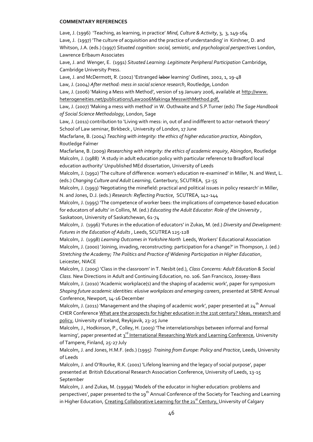Lave, J. (1996) 'Teaching, as learning, in practice' *Mind, Culture & Activity*, 3, 3, 149-164 Lave, J. (1997) 'The culture of acquisition and the practice of understanding' in Kirshner, D. and Whitson, J.A. (eds.) (1997) *Situated cognition: social, semiotic, and psychological perspectives* London, Lawrence Erlbaum Associates Lave, J. and Wenger, E. (1991) *Situated Learning: Legitimate Peripheral Participation* Cambridge, Cambridge University Press. Lave, J. and McDermott, R. (2002) 'Estranged labor learning' *Outlines*, 2002, 1, 19-48 Law, J. (2004) *After method: mess in social science research*, Routledge, London Law, J. (2006) 'Making a Mess with Method', version of 19 January 2006, available at http://www. heterogeneities.net/publications/Law2006Makinga MesswithMethod.pdf, Law, J. (2007) 'Making a mess with method' in W. Outhwaite and S.P.Turner (eds) *The Sage Handbook of Social Science Methodology*, London, Sage Law, J. (2011) contribution to 'Living with mess: in, out of and indifferent to actor-network theory' School of Law seminar, Birkbeck , University of London, 17 June Macfarlane, B. (2004) *Teaching with integrity: the ethics of higher education practice*, Abingdon, Routledge Falmer Macfarlane, B. (2009) *Researching with integrity: the ethics of academic enquiry*, Abingdon, Routledge Malcolm, J. (1988) 'A study in adult education policy with particular reference to Bradford local education authority' Unpublished MEd dissertation, University of Leeds Malcolm, J. (1992) 'The culture of difference: women's education re-examined' in Miller, N. and West, L. (eds.) *Changing Culture and Adult Learning*, Canterbury, SCUTREA, 52-55 Malcolm, J. (1993) 'Negotiating the minefield: practical and political issues in policy research' in Miller, N. and Jones, D.J. (eds.) *Research: Reflecting Practice*, SCUTREA, 142-144 Malcolm, J. (1995) 'The competence of worker bees: the implications of competence-based education for educators of adults' in Collins, M. (ed.) *Educating the Adult Educator: Role of the University* , Saskatoon, University of Saskatchewan, 61-74 Malcolm, J. (1996) 'Futures in the education of educators' in Zukas, M. (ed.) *Diversity and Development: Futures in the Education of Adults* , Leeds, SCUTREA 125-128 Malcolm, J. (1998) *Learning Outcomes in Yorkshire North* Leeds, Workers' Educational Association Malcolm, J. (2000) 'Joining, invading, reconstructing: participation for a change?' in Thompson, J. (ed.) *Stretching the Academy; The Politics and Practice of Widening Participation in Higher Education*, Leicester, NIACE Malcolm, J. (2005) 'Class in the classroom' in T. Nesbit (ed.), *Class Concerns: Adult Education & Social Class.* New Directions in Adult and Continuing Education, no. 106. San Francisco, Jossey-Bass Malcolm, J. (2010) 'Academic workplace(s) and the shaping of academic work', paper for symposium *Shaping future academic identities: elusive workplaces and emerging careers*, presented at SRHE Annual

Conference, Newport, 14-16 December

Malcolm, J. (2011) 'Management and the shaping of academic work', paper presented at  $24<sup>th</sup>$  Annual CHER Conference What are the prospects for higher education in the 21st century? Ideas, research and policy, University of Iceland, Reykjavik, 23-25 June

Malcolm, J., Hodkinson, P., Colley, H. (2003) 'The interrelationships between informal and formal learning', paper presented at 3<sup>rd</sup> International Researching Work and Learning Conference, University of Tampere, Finland, 25-27 July

Malcolm, J. and Jones, H.M.F. (eds.) (1995) *Training from Europe: Policy and Practice*, Leeds, University of Leeds

Malcolm, J. and O'Rourke, R.K. (2001) 'Lifelong learning and the legacy of social purpose', paper presented at British Educational Research Association Conference, University of Leeds, 13-15 September

Malcolm, J. and Zukas, M. (1999a) 'Models of the educator in higher education: problems and perspectives', paper presented to the 19<sup>th</sup> Annual Conference of the Society for Teaching and Learning in Higher Education, Creating Collaborative Learning for the 21<sup>st</sup> Century, University of Calgary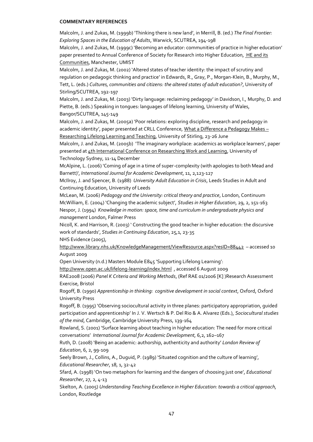Malcolm, J. and Zukas, M. (1999b) 'Thinking there is new land', in Merrill, B. (ed.) *The Final Frontier: Exploring Spaces in the Education of Adults*, Warwick, SCUTREA, 194-198

Malcolm, J. and Zukas, M. (1999c) 'Becoming an educator: communities of practice in higher education' paper presented to Annual Conference of Society for Research into Higher Education, HE and its Communities, Manchester, UMIST

Malcolm, J. and Zukas, M. (2002) 'Altered states of teacher identity: the impact of scrutiny and regulation on pedagogic thinking and practice' in Edwards, R., Gray, P., Morgan-Klein, B., Murphy, M., Tett, L. (eds.) *Cultures, communities and citizens: the altered states of adult education?*, University of Stirling/SCUTREA, 192-197

Malcolm, J. and Zukas, M. (2003) 'Dirty language: reclaiming pedagogy' in Davidson, I., Murphy, D. and Piette, B. (eds.) Speaking in tongues: languages of lifelong learning, University of Wales,

Bangor/SCUTREA, 145-149

Malcolm, J. and Zukas, M. (2005a) 'Poor relations: exploring discipline, research and pedagogy in academic identity', paper presented at CRLL Conference, What a Difference a Pedagogy Makes -Researching Lifelong Learning and Teaching, University of Stirling, 23-26 June

Malcolm, J. and Zukas, M. (2005b) 'The imaginary workplace: academics as workplace learners', paper presented at 4th International Conference on Researching Work and Learning, University of Technology Sydney, 11-14 December

McAlpine, L. (2006) 'Coming of age in a time of super-complexity (with apologies to both Mead and Barnett)', *International Journal for Academic Development*, 11, 2,123-127

McIlroy, J. and Spencer, B. (1988) *University Adult Education in Crisis*, Leeds Studies in Adult and Continuing Education, University of Leeds

McLean, M. (2006) *Pedagogy and the University: critical theory and practice*, London, Continuum McWilliam, E. (2004) 'Changing the academic subject', *Studies in Higher Education*, 29, 2, 151-163 Nespor, J. (1994) *Knowledge in motion: space, time and curriculum in undergraduate physics and management* London, Falmer Press

Nicoll, K. and Harrison, R. (2003) ' Constructing the good teacher in higher education: the discursive work of standards', *Studies in Continuing Education*, 25,1, 23-35

NHS Evidence (2005),

<http://www.library.nhs.uk/KnowledgeManagement/ViewResource.aspx?resID=88442>– accessed 10 August 2009

Open University (n.d.) Masters Module E845 'Supporting Lifelong Learning':

<http://www.open.ac.uk/lifelong-learning/index.html>, accessed 6 August 2009

RAE2008 (2006) *Panel K Criteria and Working Methods*, (Ref RAE 01/2006 [K] )Research Assessment Exercise, Bristol

Rogoff, B. (1990) *Apprenticeship in thinking: cognitive development in social context*, Oxford, Oxford University Press

Rogoff, B. (1995) 'Observing sociocultural activity in three planes: participatory appropriation, guided participation and apprenticeship' In J. V. Wertsch & P. Del Rio & A. Alvarez (Eds.), *Sociocultural studies of the mind*, Cambridge, Cambridge University Press, 139-164

Rowland, S. (2001) 'Surface learning about teaching in higher education: The need for more critical conversations' *International Journal for Academic Development,* 6,2, 162–167

Ruth, D. (2008) 'Being an academic: authorship, authenticity and authority' *London Review of Education*, 6, 2, 99-109

Seely Brown, J., Collins, A., Duguid, P. (1989) 'Situated cognition and the culture of learning', *Educational Researcher*, 18, 1, 32-42

Sfard, A. (1998) 'On two metaphors for learning and the dangers of choosing just one', *Educational Researcher*, 27, 2, 4-13

Skelton, A. (2005) *Understanding Teaching Excellence in Higher Education: towards a critical approach,*  London, Routledge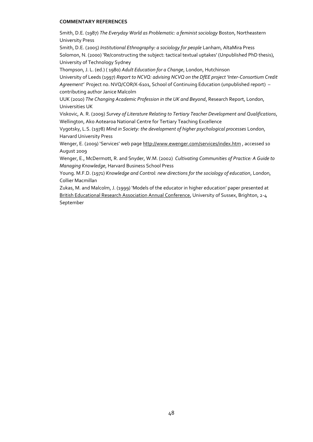Smith, D.E. (1987) *The Everyday World as Problematic: a feminist sociology* Boston, Northeastern University Press

Smith, D.E. (2005) *Institutional Ethnography: a sociology for people* Lanham, AltaMira Press Solomon, N. (2000) 'Re/constructing the subject: tactical textual uptakes' (Unpublished PhD thesis), University of Technology Sydney

Thompson, J. L. (ed.) ( 1980) *Adult Education for a Change*, London, Hutchinson

University of Leeds (1997) *Report to NCVQ: advising NCVQ on the DfEE project 'Inter-Consortium Credit Agreement'* Project no. NVQ/COR/X-6101, School of Continuing Education (unpublished report) – contributing author Janice Malcolm

UUK (2010) *The Changing Academic Profession in the UK and Beyond*, Research Report, London, Universities UK

Viskovic, A. R. (2009) *Survey of Literature Relating to Tertiary Teacher Development and Qualifications*, Wellington, Ako Aotearoa National Centre for Tertiary Teaching Excellence

Vygotsky, L.S. (1978) *Mind in Society: the development of higher psychological processes* London, Harvard University Press

Wenger, E. (2009) 'Services' web page <http://www.ewenger.com/services/index.htm>, accessed 10 August 2009

Wenger, E., McDermott, R. and Snyder, W.M. (2002) *Cultivating Communities of Practice: A Guide to Managing Knowledge*, Harvard Business School Press

Young. M.F.D. (1971) *Knowledge and Control: new directions for the sociology of education*, London, Collier Macmillan

Zukas, M. and Malcolm, J. (1999) 'Models of the educator in higher education' paper presented at British Educational Research Association Annual Conference, University of Sussex, Brighton, 2-4 September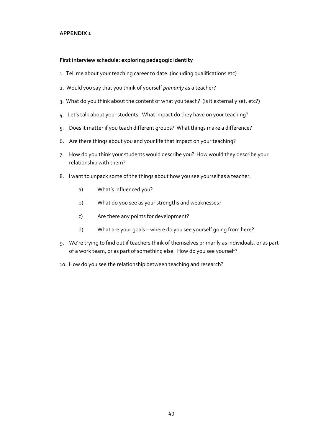## **APPENDIX 1**

## **First interview schedule: exploring pedagogic identity**

- 1. Tell me about your teaching career to date. (including qualifications etc)
- 2. Would you say that you think of yourself *primarily* as a teacher?
- 3. What do you think about the content of what you teach? (Is it externally set, etc?)
- 4. Let's talk about your students. What impact do they have on your teaching?
- 5. Does it matter if you teach different groups? What things make a difference?
- 6. Are there things about you and your life that impact on your teaching?
- 7. How do you think your students would describe you? How would they describe your relationship with them?
- 8. I want to unpack some of the things about how you see yourself as a teacher.
	- a) What's influenced you?
	- b) What do you see as your strengths and weaknesses?
	- c) Are there any points for development?
	- d) What are your goals where do you see yourself going from here?
- 9. We're trying to find out if teachers think of themselves primarily as individuals, or as part of a work team, or as part of something else. How do you see yourself?
- 10. How do you see the relationship between teaching and research?